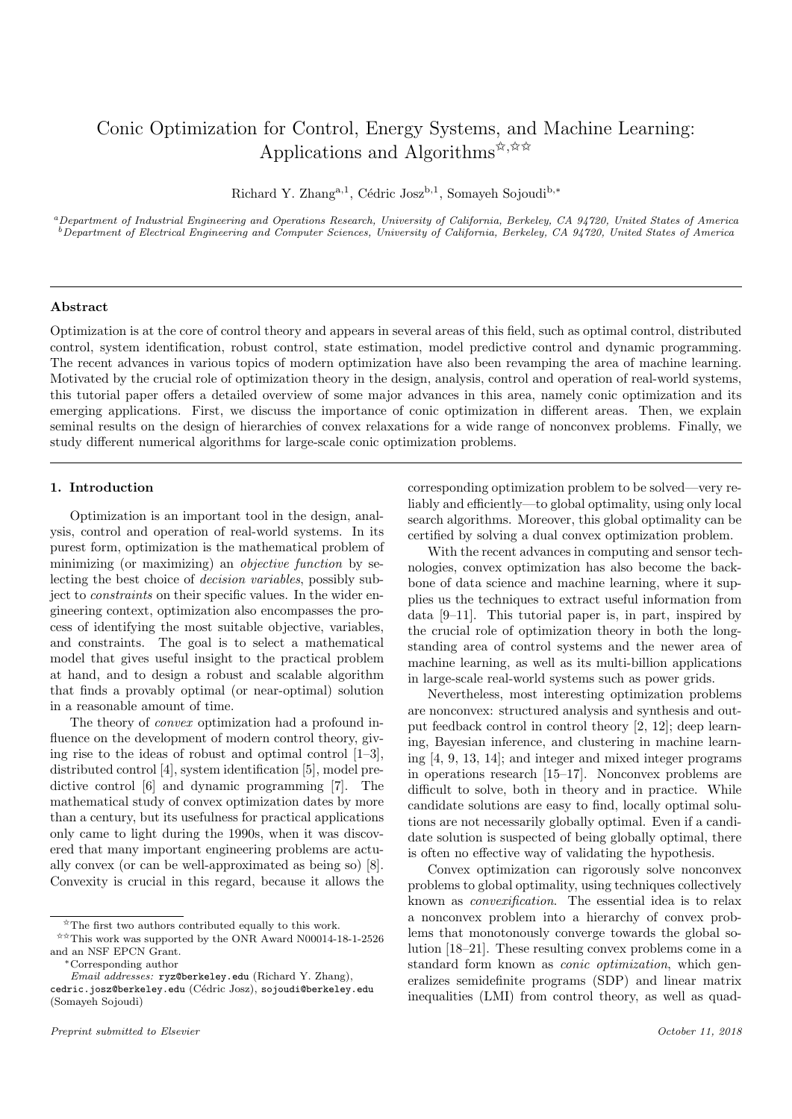# Conic Optimization for Control, Energy Systems, and Machine Learning: Applications and Algorithms  $\hat{\mathbf{x}}$ ,  $\hat{\mathbf{x}}$

Richard Y. Zhang<sup>a,1</sup>, Cédric Josz<sup>b,1</sup>, Somayeh Sojoudi<sup>b,∗</sup>

<sup>a</sup>Department of Industrial Engineering and Operations Research, University of California, Berkeley, CA 94720, United States of America  $b$ Department of Electrical Engineering and Computer Sciences, University of California, Berkeley, CA 94720, United States of America

#### Abstract

Optimization is at the core of control theory and appears in several areas of this field, such as optimal control, distributed control, system identification, robust control, state estimation, model predictive control and dynamic programming. The recent advances in various topics of modern optimization have also been revamping the area of machine learning. Motivated by the crucial role of optimization theory in the design, analysis, control and operation of real-world systems, this tutorial paper offers a detailed overview of some major advances in this area, namely conic optimization and its emerging applications. First, we discuss the importance of conic optimization in different areas. Then, we explain seminal results on the design of hierarchies of convex relaxations for a wide range of nonconvex problems. Finally, we study different numerical algorithms for large-scale conic optimization problems.

### 1. Introduction

Optimization is an important tool in the design, analysis, control and operation of real-world systems. In its purest form, optimization is the mathematical problem of minimizing (or maximizing) an objective function by selecting the best choice of decision variables, possibly subject to constraints on their specific values. In the wider engineering context, optimization also encompasses the process of identifying the most suitable objective, variables, and constraints. The goal is to select a mathematical model that gives useful insight to the practical problem at hand, and to design a robust and scalable algorithm that finds a provably optimal (or near-optimal) solution in a reasonable amount of time.

The theory of convex optimization had a profound influence on the development of modern control theory, giving rise to the ideas of robust and optimal control [\[1–](#page-17-0)[3\]](#page-17-1), distributed control [\[4\]](#page-17-2), system identification [\[5\]](#page-17-3), model predictive control [\[6\]](#page-17-4) and dynamic programming [\[7\]](#page-17-5). The mathematical study of convex optimization dates by more than a century, but its usefulness for practical applications only came to light during the 1990s, when it was discovered that many important engineering problems are actually convex (or can be well-approximated as being so) [\[8\]](#page-17-6). Convexity is crucial in this regard, because it allows the

corresponding optimization problem to be solved—very reliably and efficiently—to global optimality, using only local search algorithms. Moreover, this global optimality can be certified by solving a dual convex optimization problem.

With the recent advances in computing and sensor technologies, convex optimization has also become the backbone of data science and machine learning, where it supplies us the techniques to extract useful information from data [\[9](#page-17-7)[–11\]](#page-17-8). This tutorial paper is, in part, inspired by the crucial role of optimization theory in both the longstanding area of control systems and the newer area of machine learning, as well as its multi-billion applications in large-scale real-world systems such as power grids.

Nevertheless, most interesting optimization problems are nonconvex: structured analysis and synthesis and output feedback control in control theory [\[2,](#page-17-9) [12\]](#page-17-10); deep learning, Bayesian inference, and clustering in machine learning [\[4,](#page-17-2) [9,](#page-17-7) [13,](#page-17-11) [14\]](#page-17-12); and integer and mixed integer programs in operations research [\[15–](#page-17-13)[17\]](#page-17-14). Nonconvex problems are difficult to solve, both in theory and in practice. While candidate solutions are easy to find, locally optimal solutions are not necessarily globally optimal. Even if a candidate solution is suspected of being globally optimal, there is often no effective way of validating the hypothesis.

Convex optimization can rigorously solve nonconvex problems to global optimality, using techniques collectively known as convexification. The essential idea is to relax a nonconvex problem into a hierarchy of convex problems that monotonously converge towards the global solution [\[18–](#page-17-15)[21\]](#page-17-16). These resulting convex problems come in a standard form known as *conic optimization*, which generalizes semidefinite programs (SDP) and linear matrix inequalities (LMI) from control theory, as well as quad-

 $\overrightarrow{r}$ The first two authors contributed equally to this work.

 $\star\!\star$  This work was supported by the ONR Award N00014-18-1-2526 and an NSF EPCN Grant.

<sup>∗</sup>Corresponding author

Email addresses: ryz@berkeley.edu (Richard Y. Zhang),

cedric.josz@berkeley.edu (Cédric Josz), sojoudi@berkeley.edu (Somayeh Sojoudi)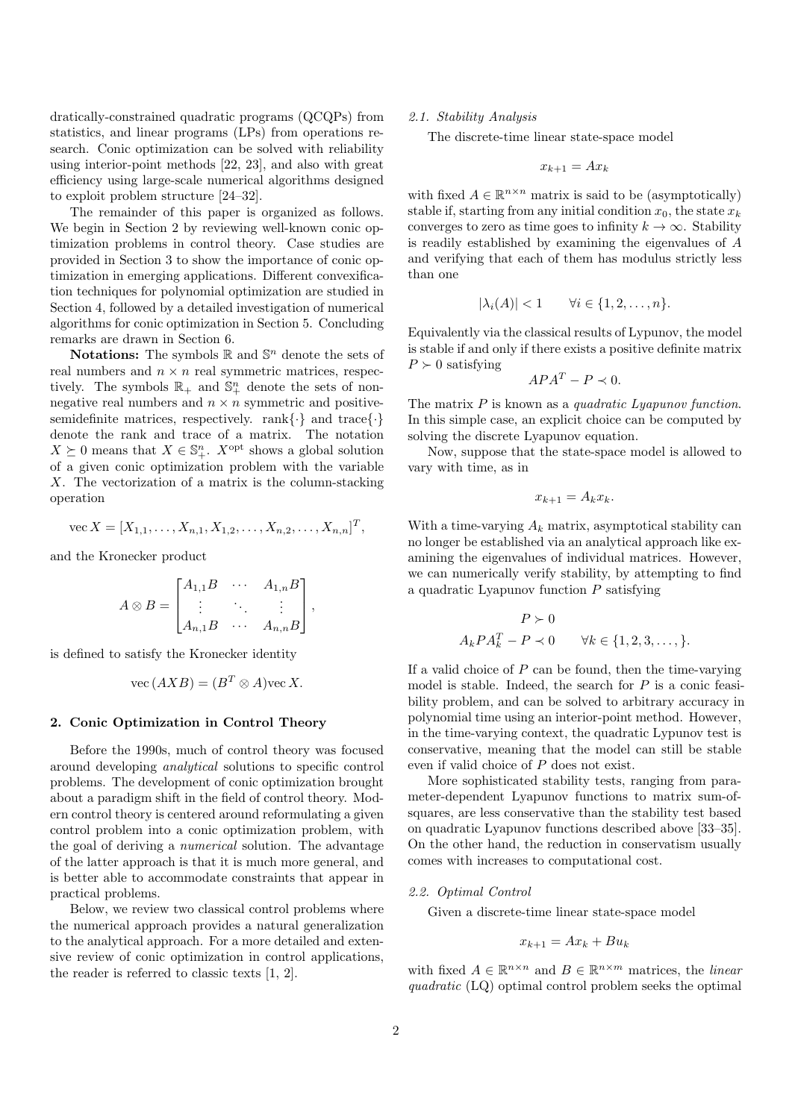dratically-constrained quadratic programs (QCQPs) from statistics, and linear programs (LPs) from operations research. Conic optimization can be solved with reliability using interior-point methods [\[22,](#page-17-17) [23\]](#page-17-18), and also with great efficiency using large-scale numerical algorithms designed to exploit problem structure [\[24–](#page-17-19)[32\]](#page-17-20).

The remainder of this paper is organized as follows. We begin in Section [2](#page-1-0) by reviewing well-known conic optimization problems in control theory. Case studies are provided in Section [3](#page-2-0) to show the importance of conic optimization in emerging applications. Different convexification techniques for polynomial optimization are studied in Section [4,](#page-6-0) followed by a detailed investigation of numerical algorithms for conic optimization in Section [5.](#page-11-0) Concluding remarks are drawn in Section [6.](#page-17-21)

**Notations:** The symbols  $\mathbb{R}$  and  $\mathbb{S}^n$  denote the sets of real numbers and  $n \times n$  real symmetric matrices, respectively. The symbols  $\mathbb{R}_+$  and  $\mathbb{S}^n_+$  denote the sets of nonnegative real numbers and  $n \times n$  symmetric and positivesemidefinite matrices, respectively. rank $\{\cdot\}$  and trace $\{\cdot\}$ denote the rank and trace of a matrix. The notation  $X \succeq 0$  means that  $X \in \mathbb{S}^n_+$ .  $X^{\text{opt}}$  shows a global solution of a given conic optimization problem with the variable X. The vectorization of a matrix is the column-stacking operation

$$
\text{vec } X = [X_{1,1}, \dots, X_{n,1}, X_{1,2}, \dots, X_{n,2}, \dots, X_{n,n}]^T,
$$

and the Kronecker product

$$
A \otimes B = \begin{bmatrix} A_{1,1}B & \cdots & A_{1,n}B \\ \vdots & \ddots & \vdots \\ A_{n,1}B & \cdots & A_{n,n}B \end{bmatrix},
$$

is defined to satisfy the Kronecker identity

$$
\text{vec}(AXB) = (B^T \otimes A)\text{vec} X.
$$

#### <span id="page-1-0"></span>2. Conic Optimization in Control Theory

Before the 1990s, much of control theory was focused around developing analytical solutions to specific control problems. The development of conic optimization brought about a paradigm shift in the field of control theory. Modern control theory is centered around reformulating a given control problem into a conic optimization problem, with the goal of deriving a numerical solution. The advantage of the latter approach is that it is much more general, and is better able to accommodate constraints that appear in practical problems.

Below, we review two classical control problems where the numerical approach provides a natural generalization to the analytical approach. For a more detailed and extensive review of conic optimization in control applications, the reader is referred to classic texts [\[1,](#page-17-0) [2\]](#page-17-9).

#### 2.1. Stability Analysis

The discrete-time linear state-space model

$$
x_{k+1} = Ax_k
$$

with fixed  $A \in \mathbb{R}^{n \times n}$  matrix is said to be (asymptotically) stable if, starting from any initial condition  $x_0$ , the state  $x_k$ converges to zero as time goes to infinity  $k \to \infty$ . Stability is readily established by examining the eigenvalues of A and verifying that each of them has modulus strictly less than one

$$
|\lambda_i(A)| < 1 \qquad \forall i \in \{1, 2, \dots, n\}.
$$

Equivalently via the classical results of Lypunov, the model is stable if and only if there exists a positive definite matrix  $P \succ 0$  satisfying

$$
APA^T - P \prec 0.
$$

The matrix  $P$  is known as a *quadratic Lyapunov function*. In this simple case, an explicit choice can be computed by solving the discrete Lyapunov equation.

Now, suppose that the state-space model is allowed to vary with time, as in

$$
x_{k+1} = A_k x_k.
$$

With a time-varying  $A_k$  matrix, asymptotical stability can no longer be established via an analytical approach like examining the eigenvalues of individual matrices. However, we can numerically verify stability, by attempting to find a quadratic Lyapunov function  $P$  satisfying

$$
P \succ 0
$$
  

$$
A_k P A_k^T - P \prec 0 \qquad \forall k \in \{1, 2, 3, \dots, \}.
$$

If a valid choice of  $P$  can be found, then the time-varying model is stable. Indeed, the search for  $P$  is a conic feasibility problem, and can be solved to arbitrary accuracy in polynomial time using an interior-point method. However, in the time-varying context, the quadratic Lypunov test is conservative, meaning that the model can still be stable even if valid choice of P does not exist.

More sophisticated stability tests, ranging from parameter-dependent Lyapunov functions to matrix sum-ofsquares, are less conservative than the stability test based on quadratic Lyapunov functions described above [\[33–](#page-17-22)[35\].](#page-17-23) On the other hand, the reduction in conservatism usually comes with increases to computational cost.

### 2.2. Optimal Control

Given a discrete-time linear state-space model

$$
x_{k+1} = Ax_k + Bu_k
$$

with fixed  $A \in \mathbb{R}^{n \times n}$  and  $B \in \mathbb{R}^{n \times m}$  matrices, the *linear* quadratic (LQ) optimal control problem seeks the optimal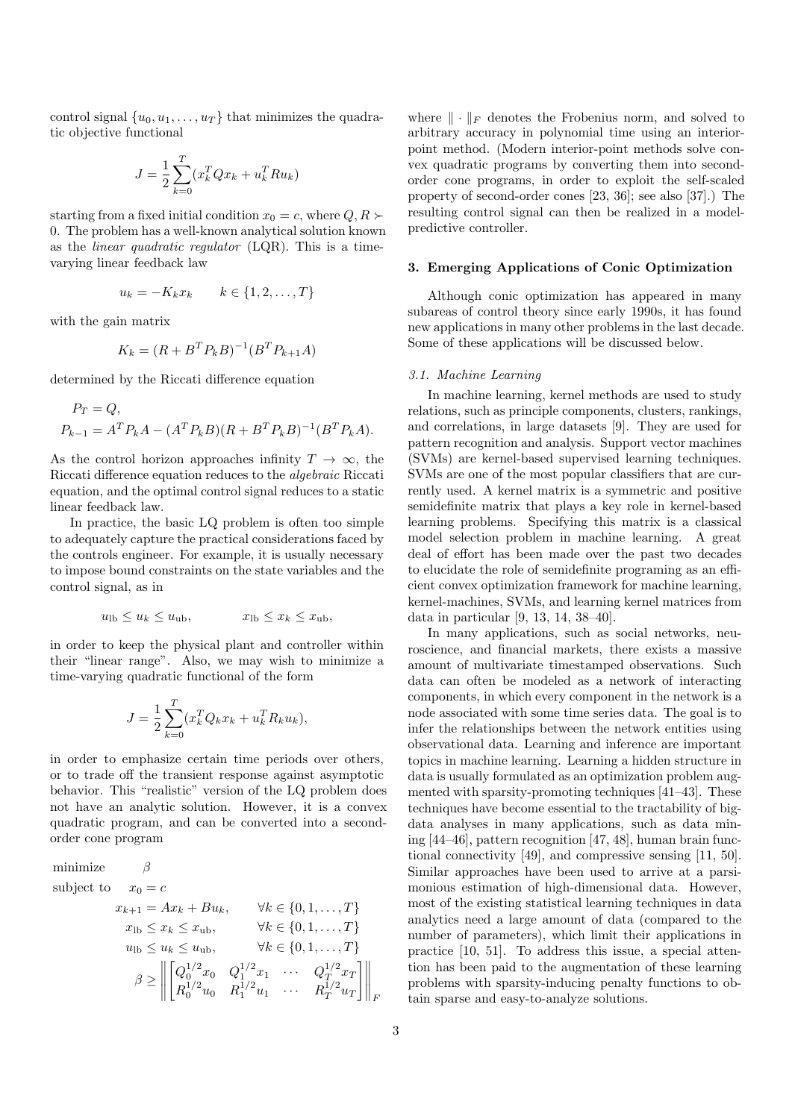control signal  $\{u_0, u_1, \ldots, u_T\}$  that minimizes the quadratic objective functional

$$
J = \frac{1}{2} \sum_{k=0}^{T} (x_k^T Q x_k + u_k^T R u_k)
$$

starting from a fixed initial condition  $x_0 = c$ , where  $Q, R \succ$ 0. The problem has a well-known analytical solution known as the linear quadratic regulator (LQR). This is a timevarying linear feedback law

$$
u_k = -K_k x_k \qquad k \in \{1, 2, \dots, T\}
$$

with the gain matrix

$$
K_k = (R + B^T P_k B)^{-1} (B^T P_{k+1} A)
$$

determined by the Riccati difference equation

$$
P_T = Q,
$$
  

$$
P_{k-1} = A^T P_k A - (A^T P_k B)(R + B^T P_k B)^{-1} (B^T P_k A).
$$

As the control horizon approaches infinity  $T \to \infty$ , the Riccati difference equation reduces to the algebraic Riccati equation, and the optimal control signal reduces to a static linear feedback law.

In practice, the basic LQ problem is often too simple to adequately capture the practical considerations faced by the controls engineer. For example, it is usually necessary to impose bound constraints on the state variables and the control signal, as in

$$
u_{\text{lb}} \le u_k \le u_{\text{ub}},
$$
  $x_{\text{lb}} \le x_k \le x_{\text{ub}},$ 

in order to keep the physical plant and controller within their "linear range". Also, we may wish to minimize a time-varying quadratic functional of the form

$$
J = \frac{1}{2} \sum_{k=0}^{T} (x_k^T Q_k x_k + u_k^T R_k u_k),
$$

in order to emphasize certain time periods over others, or to trade off the transient response against asymptotic behavior. This "realistic" version of the LQ problem does not have an analytic solution. However, it is a convex quadratic program, and can be converted into a secondorder cone program

minimize 
$$
\beta
$$
  
\nsubject to  $x_0 = c$   
\n $x_{k+1} = Ax_k + Bu_k, \quad \forall k \in \{0, 1, ..., T\}$   
\n $x_{\text{lb}} \le x_k \le x_{\text{ub}}, \quad \forall k \in \{0, 1, ..., T\}$   
\n $u_{\text{lb}} \le u_k \le u_{\text{ub}}, \quad \forall k \in \{0, 1, ..., T\}$   
\n $\beta \ge \left\| \begin{bmatrix} Q_0^{1/2} x_0 & Q_1^{1/2} x_1 & \cdots & Q_T^{1/2} x_T \\ R_0^{1/2} u_0 & R_1^{1/2} u_1 & \cdots & R_T^{1/2} u_T \end{bmatrix} \right\|_F$ 

where  $\|\cdot\|_F$  denotes the Frobenius norm, and solved to arbitrary accuracy in polynomial time using an interiorpoint method. (Modern interior-point methods solve convex quadratic programs by converting them into secondorder cone programs, in order to exploit the self-scaled property of second-order cones [\[23,](#page-17-18) [36\]](#page-17-24); see also [\[37\].](#page-17-25)) The resulting control signal can then be realized in a modelpredictive controller.

### <span id="page-2-0"></span>3. Emerging Applications of Conic Optimization

Although conic optimization has appeared in many subareas of control theory since early 1990s, it has found new applications in many other problems in the last decade. Some of these applications will be discussed below.

#### 3.1. Machine Learning

In machine learning, kernel methods are used to study relations, such as principle components, clusters, rankings, and correlations, in large datasets [\[9\]](#page-17-7). They are used for pattern recognition and analysis. Support vector machines (SVMs) are kernel-based supervised learning techniques. SVMs are one of the most popular classifiers that are currently used. A kernel matrix is a symmetric and positive semidefinite matrix that plays a key role in kernel-based learning problems. Specifying this matrix is a classical model selection problem in machine learning. A great deal of effort has been made over the past two decades to elucidate the role of semidefinite programing as an efficient convex optimization framework for machine learning, kernel-machines, SVMs, and learning kernel matrices from data in particular [\[9,](#page-17-7) [13,](#page-17-11) [14,](#page-17-12) [38–](#page-17-26)[40\]](#page-18-0).

In many applications, such as social networks, neuroscience, and financial markets, there exists a massive amount of multivariate timestamped observations. Such data can often be modeled as a network of interacting components, in which every component in the network is a node associated with some time series data. The goal is to infer the relationships between the network entities using observational data. Learning and inference are important topics in machine learning. Learning a hidden structure in data is usually formulated as an optimization problem augmented with sparsity-promoting techniques [\[41–](#page-18-1)[43\]](#page-18-2). These techniques have become essential to the tractability of bigdata analyses in many applications, such as data mining [\[44–](#page-18-3)[46\]](#page-18-4), pattern recognition [\[47,](#page-18-5) [48\]](#page-18-6), human brain functional connectivity [\[49\]](#page-18-7), and compressive sensing [\[11,](#page-17-8) [50\]](#page-18-8). Similar approaches have been used to arrive at a parsimonious estimation of high-dimensional data. However, most of the existing statistical learning techniques in data analytics need a large amount of data (compared to the number of parameters), which limit their applications in practice [\[10,](#page-17-27) [51\]](#page-18-9). To address this issue, a special attention has been paid to the augmentation of these learning problems with sparsity-inducing penalty functions to obtain sparse and easy-to-analyze solutions.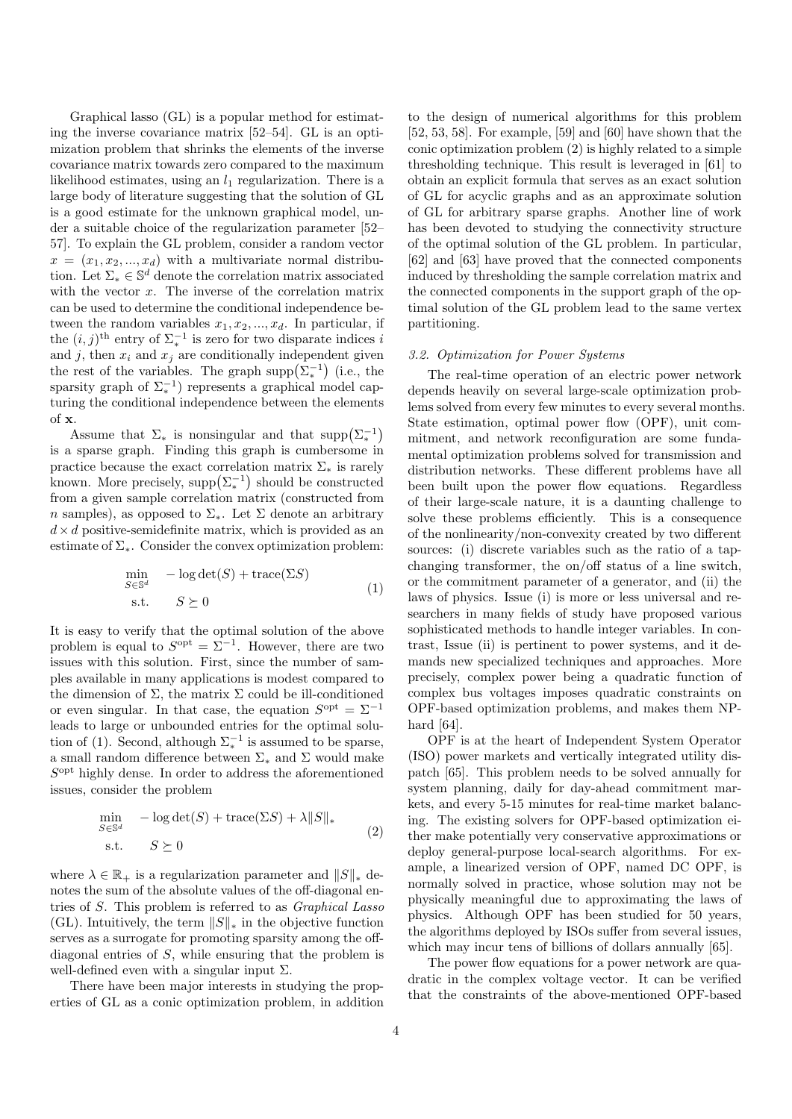Graphical lasso (GL) is a popular method for estimating the inverse covariance matrix [\[52–](#page-18-10)[54\]](#page-18-11). GL is an optimization problem that shrinks the elements of the inverse covariance matrix towards zero compared to the maximum likelihood estimates, using an  $l_1$  regularization. There is a large body of literature suggesting that the solution of GL is a good estimate for the unknown graphical model, under a suitable choice of the regularization parameter [\[52–](#page-18-10) [57\]](#page-18-12). To explain the GL problem, consider a random vector  $x = (x_1, x_2, ..., x_d)$  with a multivariate normal distribution. Let  $\Sigma_* \in \mathbb{S}^d$  denote the correlation matrix associated with the vector  $x$ . The inverse of the correlation matrix can be used to determine the conditional independence between the random variables  $x_1, x_2, ..., x_d$ . In particular, if the  $(i, j)$ <sup>th</sup> entry of  $\Sigma_*^{-1}$  is zero for two disparate indices i and j, then  $x_i$  and  $x_j$  are conditionally independent given the rest of the variables. The graph  $\text{supp}(\Sigma_*^{-1})$  (i.e., the sparsity graph of  $\Sigma_*^{-1}$ ) represents a graphical model capturing the conditional independence between the elements of x.

Assume that  $\Sigma_*$  is nonsingular and that supp $(\Sigma_*^{-1})$ is a sparse graph. Finding this graph is cumbersome in practice because the exact correlation matrix  $\Sigma_*$  is rarely known. More precisely,  $\text{supp}(\Sigma_*^{-1})$  should be constructed from a given sample correlation matrix (constructed from n samples), as opposed to  $\Sigma_*$ . Let  $\Sigma$  denote an arbitrary  $d \times d$  positive-semidefinite matrix, which is provided as an estimate of  $\Sigma_*$ . Consider the convex optimization problem:

<span id="page-3-0"></span>
$$
\min_{S \in \mathbb{S}^d} \quad -\log \det(S) + \text{trace}(\Sigma S) \text{s.t.} \quad S \succeq 0
$$
\n(1)

It is easy to verify that the optimal solution of the above problem is equal to  $S^{\text{opt}} = \Sigma^{-1}$ . However, there are two issues with this solution. First, since the number of samples available in many applications is modest compared to the dimension of  $\Sigma$ , the matrix  $\Sigma$  could be ill-conditioned or even singular. In that case, the equation  $S^{\text{opt}} = \Sigma^{-1}$ leads to large or unbounded entries for the optimal solu-tion of [\(1\)](#page-3-0). Second, although  $\Sigma_*^{-1}$  is assumed to be sparse, a small random difference between  $\Sigma_*$  and  $\Sigma$  would make S<sup>opt</sup> highly dense. In order to address the aforementioned issues, consider the problem

<span id="page-3-1"></span>
$$
\min_{S \in \mathbb{S}^d} \quad -\log \det(S) + \text{trace}(\Sigma S) + \lambda ||S||_*\text{s.t.} \quad S \succeq 0
$$
\n(2)

where  $\lambda \in \mathbb{R}_+$  is a regularization parameter and  $||S||_*$  denotes the sum of the absolute values of the off-diagonal entries of S. This problem is referred to as Graphical Lasso (GL). Intuitively, the term  $||S||_*$  in the objective function serves as a surrogate for promoting sparsity among the offdiagonal entries of S, while ensuring that the problem is well-defined even with a singular input  $\Sigma$ .

There have been major interests in studying the properties of GL as a conic optimization problem, in addition

to the design of numerical algorithms for this problem [\[52,](#page-18-10) [53,](#page-18-13) [58\]](#page-18-14). For example, [\[59\]](#page-18-15) and [\[60\]](#page-18-16) have shown that the conic optimization problem [\(2\)](#page-3-1) is highly related to a simple thresholding technique. This result is leveraged in [\[61\]](#page-18-17) to obtain an explicit formula that serves as an exact solution of GL for acyclic graphs and as an approximate solution of GL for arbitrary sparse graphs. Another line of work has been devoted to studying the connectivity structure of the optimal solution of the GL problem. In particular, [\[62\]](#page-18-18) and [\[63\]](#page-18-19) have proved that the connected components induced by thresholding the sample correlation matrix and the connected components in the support graph of the optimal solution of the GL problem lead to the same vertex partitioning.

### 3.2. Optimization for Power Systems

The real-time operation of an electric power network depends heavily on several large-scale optimization problems solved from every few minutes to every several months. State estimation, optimal power flow (OPF), unit commitment, and network reconfiguration are some fundamental optimization problems solved for transmission and distribution networks. These different problems have all been built upon the power flow equations. Regardless of their large-scale nature, it is a daunting challenge to solve these problems efficiently. This is a consequence of the nonlinearity/non-convexity created by two different sources: (i) discrete variables such as the ratio of a tapchanging transformer, the on/off status of a line switch, or the commitment parameter of a generator, and (ii) the laws of physics. Issue (i) is more or less universal and researchers in many fields of study have proposed various sophisticated methods to handle integer variables. In contrast, Issue (ii) is pertinent to power systems, and it demands new specialized techniques and approaches. More precisely, complex power being a quadratic function of complex bus voltages imposes quadratic constraints on OPF-based optimization problems, and makes them NPhard [\[64\]](#page-18-20).

OPF is at the heart of Independent System Operator (ISO) power markets and vertically integrated utility dispatch [\[65\]](#page-18-21). This problem needs to be solved annually for system planning, daily for day-ahead commitment markets, and every 5-15 minutes for real-time market balancing. The existing solvers for OPF-based optimization either make potentially very conservative approximations or deploy general-purpose local-search algorithms. For example, a linearized version of OPF, named DC OPF, is normally solved in practice, whose solution may not be physically meaningful due to approximating the laws of physics. Although OPF has been studied for 50 years, the algorithms deployed by ISOs suffer from several issues, which may incur tens of billions of dollars annually [\[65\]](#page-18-21).

The power flow equations for a power network are quadratic in the complex voltage vector. It can be verified that the constraints of the above-mentioned OPF-based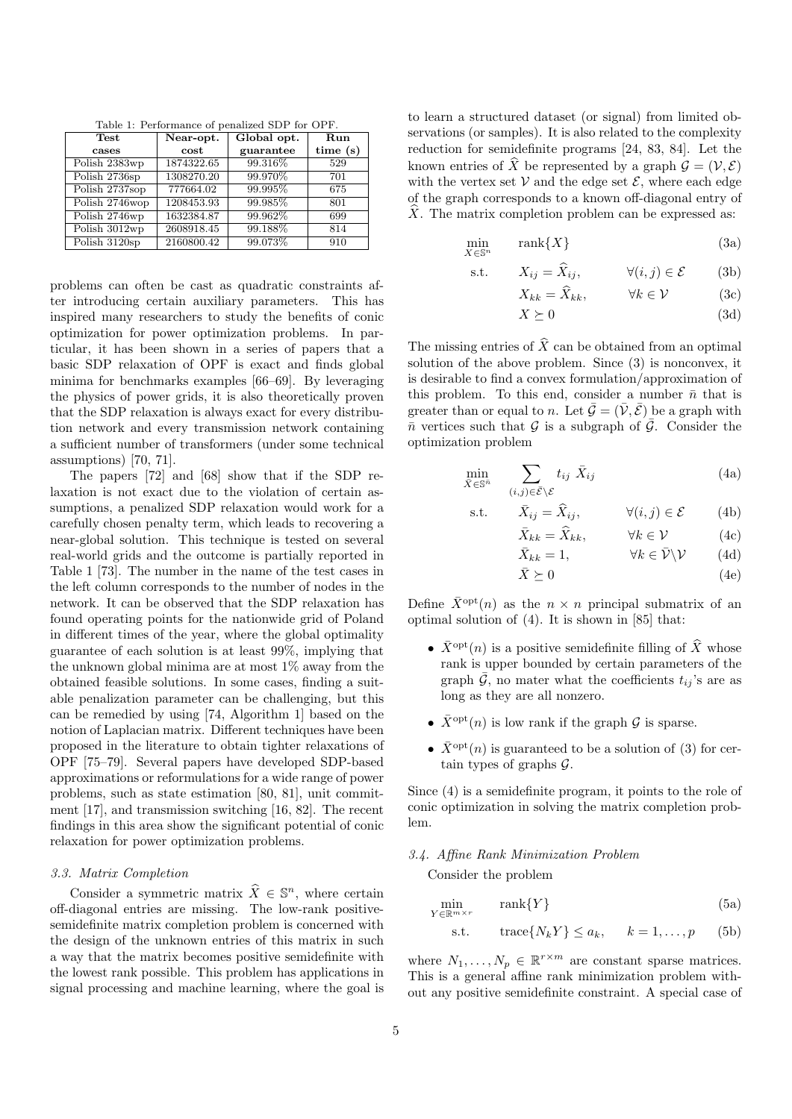<span id="page-4-0"></span>Table 1: Performance of penalized SDP for OPF.

| Test            | Near-opt.  | Global opt. | Run     |
|-----------------|------------|-------------|---------|
| cases           | cost       | guarantee   | time(s) |
| Polish 2383wp   | 1874322.65 | 99.316\%    | 529     |
| Polish 2736sp   | 1308270.20 | 99.970%     | 701     |
| Polish 2737sop  | 777664.02  | 99.995%     | 675     |
| Polish 2746wop  | 1208453.93 | 99.985%     | 801     |
| Polish 2746wp   | 1632384.87 | 99.962%     | 699     |
| Polish $3012wp$ | 2608918.45 | 99.188%     | 814     |
| Polish 3120sp   | 2160800.42 | 99.073%     | 910     |

problems can often be cast as quadratic constraints after introducing certain auxiliary parameters. This has inspired many researchers to study the benefits of conic optimization for power optimization problems. In particular, it has been shown in a series of papers that a basic SDP relaxation of OPF is exact and finds global minima for benchmarks examples [\[66–](#page-18-22)[69\]](#page-18-23). By leveraging the physics of power grids, it is also theoretically proven that the SDP relaxation is always exact for every distribution network and every transmission network containing a sufficient number of transformers (under some technical assumptions) [\[70,](#page-18-24) [71\]](#page-18-25).

The papers [\[72\]](#page-18-26) and [\[68\]](#page-18-27) show that if the SDP relaxation is not exact due to the violation of certain assumptions, a penalized SDP relaxation would work for a carefully chosen penalty term, which leads to recovering a near-global solution. This technique is tested on several real-world grids and the outcome is partially reported in Table [1](#page-4-0) [\[73\]](#page-18-28). The number in the name of the test cases in the left column corresponds to the number of nodes in the network. It can be observed that the SDP relaxation has found operating points for the nationwide grid of Poland in different times of the year, where the global optimality guarantee of each solution is at least 99%, implying that the unknown global minima are at most 1% away from the obtained feasible solutions. In some cases, finding a suitable penalization parameter can be challenging, but this can be remedied by using [\[74,](#page-18-29) Algorithm 1] based on the notion of Laplacian matrix. Different techniques have been proposed in the literature to obtain tighter relaxations of OPF [\[75](#page-18-30)[–79\]](#page-18-31). Several papers have developed SDP-based approximations or reformulations for a wide range of power problems, such as state estimation [\[80,](#page-18-32) [81\]](#page-18-33), unit commitment [\[17\]](#page-17-14), and transmission switching [\[16,](#page-17-28) [82\]](#page-18-34). The recent findings in this area show the significant potential of conic relaxation for power optimization problems.

### 3.3. Matrix Completion

Consider a symmetric matrix  $\widehat{X} \in \mathbb{S}^n$ , where certain off-diagonal entries are missing. The low-rank positivesemidefinite matrix completion problem is concerned with the design of the unknown entries of this matrix in such a way that the matrix becomes positive semidefinite with the lowest rank possible. This problem has applications in signal processing and machine learning, where the goal is

to learn a structured dataset (or signal) from limited observations (or samples). It is also related to the complexity reduction for semidefinite programs [\[24,](#page-17-19) [83,](#page-18-35) [84\]](#page-18-36). Let the known entries of  $\widehat{X}$  be represented by a graph  $\mathcal{G} = (\mathcal{V}, \mathcal{E})$ with the vertex set  $V$  and the edge set  $\mathcal{E}$ , where each edge of the graph corresponds to a known off-diagonal entry of  $\hat{X}$ . The matrix completion problem can be expressed as:

$$
\min_{X \in \mathbb{S}^n} \qquad \text{rank}\{X\} \tag{3a}
$$

$$
\text{s.t.} \qquad X_{ij} = \widehat{X}_{ij}, \qquad \forall (i, j) \in \mathcal{E} \qquad \text{(3b)}
$$

$$
X_{kk} = \hat{X}_{kk}, \qquad \forall k \in \mathcal{V} \tag{3c}
$$

<span id="page-4-1"></span>
$$
X \succeq 0 \tag{3d}
$$

The missing entries of  $\widehat{X}$  can be obtained from an optimal solution of the above problem. Since [\(3\)](#page-4-1) is nonconvex, it is desirable to find a convex formulation/approximation of this problem. To this end, consider a number  $\bar{n}$  that is greater than or equal to n. Let  $\overline{\mathcal{G}} = (\overline{\mathcal{V}}, \overline{\mathcal{E}})$  be a graph with  $\bar{n}$  vertices such that  $\mathcal G$  is a subgraph of  $\bar{\mathcal G}$ . Consider the optimization problem

<span id="page-4-2"></span>
$$
\min_{\bar{X}\in\mathbb{S}^{\bar{n}}} \sum_{(i,j)\in\bar{\mathcal{E}}\backslash\mathcal{E}} t_{ij} \bar{X}_{ij} \tag{4a}
$$

$$
\text{s.t.} \qquad \bar{X}_{ij} = \hat{X}_{ij}, \qquad \forall (i, j) \in \mathcal{E} \tag{4b}
$$

$$
\bar{X}_{kk} = \hat{X}_{kk}, \qquad \forall k \in \mathcal{V} \qquad (4c)
$$
\n
$$
\bar{X}_{kk} = 1, \qquad \forall k \in \bar{\mathcal{V}} \backslash \mathcal{V} \qquad (4d)
$$

$$
\dot{\bar{\nu}}_{kk} = 1, \qquad \forall k \in \bar{\mathcal{V}} \backslash \mathcal{V} \qquad (4d)
$$

$$
\bar{X} \succeq 0 \tag{4e}
$$

Define  $\bar{X}^{\text{opt}}(n)$  as the  $n \times n$  principal submatrix of an optimal solution of [\(4\)](#page-4-2). It is shown in [\[85\]](#page-18-37) that:

- $\bar{X}^{\text{opt}}(n)$  is a positive semidefinite filling of  $\hat{X}$  whose rank is upper bounded by certain parameters of the graph  $\bar{\mathcal{G}}$ , no mater what the coefficients  $t_{ij}$ 's are as long as they are all nonzero.
- $\bar{X}^{\text{opt}}(n)$  is low rank if the graph G is sparse.
- $\bar{X}^{\text{opt}}(n)$  is guaranteed to be a solution of [\(3\)](#page-4-1) for certain types of graphs  $\mathcal{G}$ .

Since [\(4\)](#page-4-2) is a semidefinite program, it points to the role of conic optimization in solving the matrix completion problem.

## 3.4. Affine Rank Minimization Problem

Consider the problem

$$
\min_{Y \in \mathbb{R}^{m \times r}} \qquad \text{rank}\{Y\} \tag{5a}
$$

<span id="page-4-3"></span>
$$
s.t. \quad \text{trace}\{N_k Y\} \le a_k, \quad k = 1, \dots, p \quad (5b)
$$

where  $N_1, \ldots, N_p \in \mathbb{R}^{r \times m}$  are constant sparse matrices. This is a general affine rank minimization problem without any positive semidefinite constraint. A special case of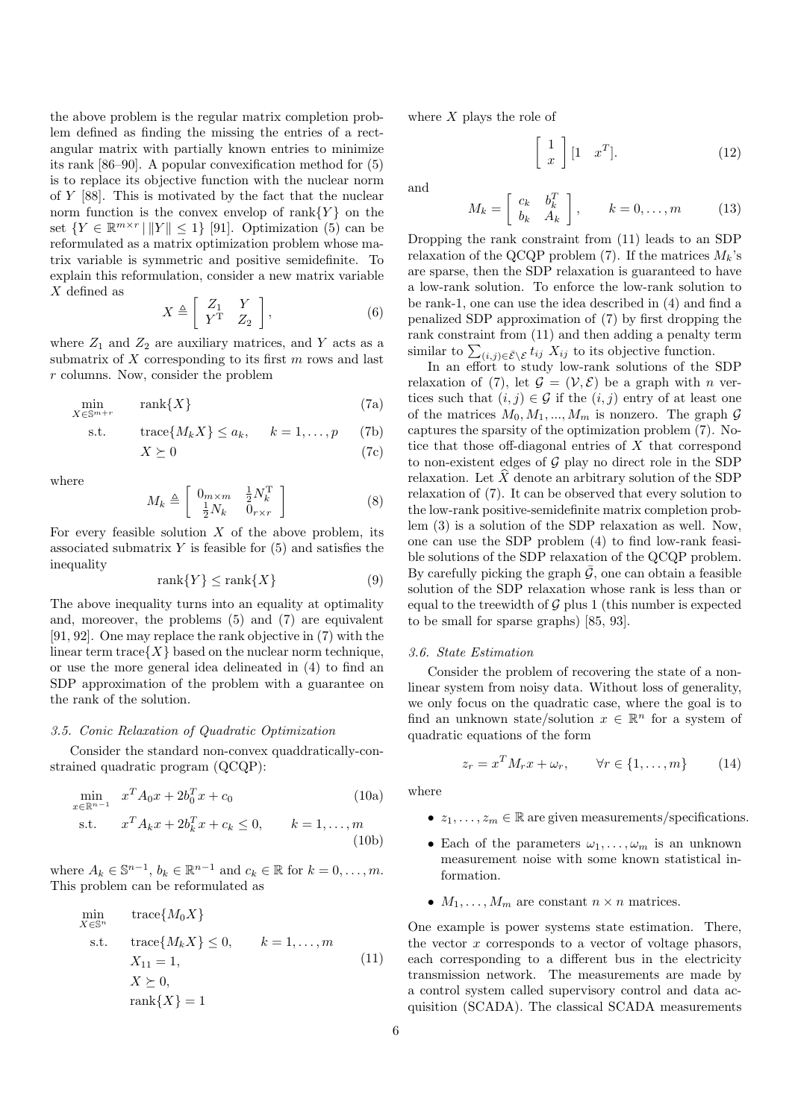the above problem is the regular matrix completion problem defined as finding the missing the entries of a rectangular matrix with partially known entries to minimize its rank [\[86](#page-18-38)[–90\]](#page-19-0). A popular convexification method for [\(5\)](#page-4-3) is to replace its objective function with the nuclear norm of Y [\[88\]](#page-19-1). This is motivated by the fact that the nuclear norm function is the convex envelop of rank ${Y}$  on the set  $\{Y \in \mathbb{R}^{m \times r} \mid ||Y|| \leq 1\}$  [\[91\]](#page-19-2). Optimization [\(5\)](#page-4-3) can be reformulated as a matrix optimization problem whose matrix variable is symmetric and positive semidefinite. To explain this reformulation, consider a new matrix variable X defined as

$$
X \triangleq \left[ \begin{array}{cc} Z_1 & Y \\ Y^{\mathrm{T}} & Z_2 \end{array} \right],\tag{6}
$$

where  $Z_1$  and  $Z_2$  are auxiliary matrices, and Y acts as a submatrix of  $X$  corresponding to its first  $m$  rows and last r columns. Now, consider the problem

$$
\min_{X \in \mathbb{S}^{m+r}} \qquad \text{rank}\{X\} \tag{7a}
$$

$$
\text{s.t.} \qquad \text{trace}\{M_k X\} \le a_k, \qquad k = 1, \dots, p \qquad \text{(7b)}
$$

$$
X \succeq 0 \tag{7c}
$$

where

$$
M_k \triangleq \left[ \begin{array}{cc} 0_{m \times m} & \frac{1}{2} N_k^{\mathrm{T}} \\ \frac{1}{2} N_k & 0_{r \times r} \end{array} \right] \tag{8}
$$

For every feasible solution  $X$  of the above problem, its associated submatrix  $Y$  is feasible for  $(5)$  and satisfies the inequality

$$
rank{Y} \le rank{X}
$$
\n(9)

The above inequality turns into an equality at optimality and, moreover, the problems [\(5\)](#page-4-3) and [\(7\)](#page-5-0) are equivalent [\[91,](#page-19-2) [92\]](#page-19-3). One may replace the rank objective in [\(7\)](#page-5-0) with the linear term trace $\{X\}$  based on the nuclear norm technique, or use the more general idea delineated in [\(4\)](#page-4-2) to find an SDP approximation of the problem with a guarantee on the rank of the solution.

### 3.5. Conic Relaxation of Quadratic Optimization

Consider the standard non-convex quaddratically-constrained quadratic program (QCQP):

$$
\min_{x \in \mathbb{R}^{n-1}} x^T A_0 x + 2b_0^T x + c_0
$$
 (10a)  
s.t. 
$$
x^T A_k x + 2b_k^T x + c_k \le 0, \qquad k = 1, ..., m
$$

$$
m = \frac{1}{2} \tag{10b}
$$

where  $A_k \in \mathbb{S}^{n-1}$ ,  $b_k \in \mathbb{R}^{n-1}$  and  $c_k \in \mathbb{R}$  for  $k = 0, \ldots, m$ . This problem can be reformulated as

<span id="page-5-1"></span>
$$
\min_{X \in \mathbb{S}^n} \quad \text{trace}\{M_0 X\}
$$
\n
$$
\text{s.t.} \quad \text{trace}\{M_k X\} \le 0, \qquad k = 1, \dots, m
$$
\n
$$
X_{11} = 1,
$$
\n
$$
X \succeq 0,
$$
\n
$$
\text{rank}\{X\} = 1
$$
\n
$$
(11)
$$

where  $X$  plays the role of

$$
\left[\begin{array}{c} 1 \\ x \end{array}\right][1 \quad x^T].\tag{12}
$$

and

$$
M_k = \left[ \begin{array}{cc} c_k & b_k^T \\ b_k & A_k \end{array} \right], \qquad k = 0, \dots, m \tag{13}
$$

Dropping the rank constraint from [\(11\)](#page-5-1) leads to an SDP relaxation of the QCQP problem [\(7\)](#page-5-0). If the matrices  $M_k$ 's are sparse, then the SDP relaxation is guaranteed to have a low-rank solution. To enforce the low-rank solution to be rank-1, one can use the idea described in [\(4\)](#page-4-2) and find a penalized SDP approximation of [\(7\)](#page-5-0) by first dropping the rank constraint from [\(11\)](#page-5-1) and then adding a penalty term similar to  $\sum_{(i,j)\in\bar{\mathcal{E}}\setminus\mathcal{E}} t_{ij}$  X<sub>ij</sub> to its objective function.

<span id="page-5-0"></span>In an effort to study low-rank solutions of the SDP relaxation of [\(7\)](#page-5-0), let  $\mathcal{G} = (\mathcal{V}, \mathcal{E})$  be a graph with n vertices such that  $(i, j) \in \mathcal{G}$  if the  $(i, j)$  entry of at least one of the matrices  $M_0, M_1, ..., M_m$  is nonzero. The graph  $\mathcal G$ captures the sparsity of the optimization problem [\(7\)](#page-5-0). Notice that those off-diagonal entries of X that correspond to non-existent edges of  $\mathcal G$  play no direct role in the SDP relaxation. Let  $\overline{X}$  denote an arbitrary solution of the SDP relaxation of [\(7\)](#page-5-0). It can be observed that every solution to the low-rank positive-semidefinite matrix completion problem [\(3\)](#page-4-1) is a solution of the SDP relaxation as well. Now, one can use the SDP problem [\(4\)](#page-4-2) to find low-rank feasible solutions of the SDP relaxation of the QCQP problem. By carefully picking the graph  $\overline{G}$ , one can obtain a feasible solution of the SDP relaxation whose rank is less than or equal to the treewidth of  $\mathcal G$  plus 1 (this number is expected to be small for sparse graphs) [\[85,](#page-18-37) [93\]](#page-19-4).

### 3.6. State Estimation

Consider the problem of recovering the state of a nonlinear system from noisy data. Without loss of generality, we only focus on the quadratic case, where the goal is to find an unknown state/solution  $x \in \mathbb{R}^n$  for a system of quadratic equations of the form

$$
z_r = x^T M_r x + \omega_r, \qquad \forall r \in \{1, \dots, m\} \tag{14}
$$

where

- $z_1, \ldots, z_m \in \mathbb{R}$  are given measurements/specifications.
- Each of the parameters  $\omega_1, \ldots, \omega_m$  is an unknown measurement noise with some known statistical information.
- $M_1, \ldots, M_m$  are constant  $n \times n$  matrices.

One example is power systems state estimation. There, the vector  $x$  corresponds to a vector of voltage phasors, each corresponding to a different bus in the electricity transmission network. The measurements are made by a control system called supervisory control and data acquisition (SCADA). The classical SCADA measurements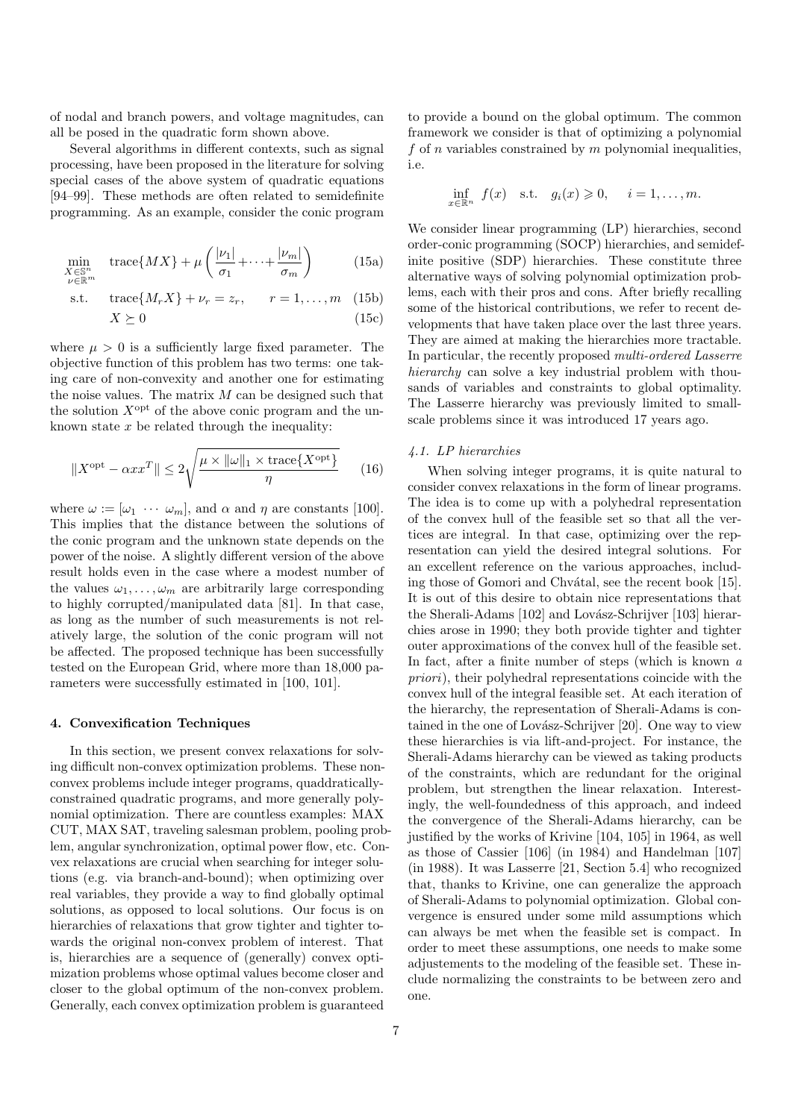of nodal and branch powers, and voltage magnitudes, can all be posed in the quadratic form shown above.

Several algorithms in different contexts, such as signal processing, have been proposed in the literature for solving special cases of the above system of quadratic equations [\[94](#page-19-5)[–99\]](#page-19-6). These methods are often related to semidefinite programming. As an example, consider the conic program

$$
\min_{\substack{X \in \mathbb{S}^n \\ \nu \in \mathbb{R}^m}} \text{trace}\{MX\} + \mu\left(\frac{|\nu_1|}{\sigma_1} + \dots + \frac{|\nu_m|}{\sigma_m}\right) \tag{15a}
$$

s.t. 
$$
\text{trace}\{M_r X\} + \nu_r = z_r, \qquad r = 1, \dots, m \quad (15b)
$$

$$
X \succeq 0 \qquad (15c)
$$

where  $\mu > 0$  is a sufficiently large fixed parameter. The objective function of this problem has two terms: one taking care of non-convexity and another one for estimating the noise values. The matrix  $M$  can be designed such that the solution  $X^{\text{opt}}$  of the above conic program and the unknown state  $x$  be related through the inequality:

$$
||X^{\text{opt}} - \alpha x x^T|| \le 2\sqrt{\frac{\mu \times ||\omega||_1 \times \text{trace}\{X^{\text{opt}}\}}{\eta}}
$$
 (16)

where  $\omega := [\omega_1 \cdots \omega_m]$ , and  $\alpha$  and  $\eta$  are constants [\[100\]](#page-19-7). This implies that the distance between the solutions of the conic program and the unknown state depends on the power of the noise. A slightly different version of the above result holds even in the case where a modest number of the values  $\omega_1, \ldots, \omega_m$  are arbitrarily large corresponding to highly corrupted/manipulated data [\[81\]](#page-18-33). In that case, as long as the number of such measurements is not relatively large, the solution of the conic program will not be affected. The proposed technique has been successfully tested on the European Grid, where more than 18,000 parameters were successfully estimated in [\[100,](#page-19-7) [101\]](#page-19-8).

#### <span id="page-6-0"></span>4. Convexification Techniques

In this section, we present convex relaxations for solving difficult non-convex optimization problems. These nonconvex problems include integer programs, quaddraticallyconstrained quadratic programs, and more generally polynomial optimization. There are countless examples: MAX CUT, MAX SAT, traveling salesman problem, pooling problem, angular synchronization, optimal power flow, etc. Convex relaxations are crucial when searching for integer solutions (e.g. via branch-and-bound); when optimizing over real variables, they provide a way to find globally optimal solutions, as opposed to local solutions. Our focus is on hierarchies of relaxations that grow tighter and tighter towards the original non-convex problem of interest. That is, hierarchies are a sequence of (generally) convex optimization problems whose optimal values become closer and closer to the global optimum of the non-convex problem. Generally, each convex optimization problem is guaranteed

to provide a bound on the global optimum. The common framework we consider is that of optimizing a polynomial f of n variables constrained by m polynomial inequalities, i.e.

$$
\inf_{x \in \mathbb{R}^n} f(x) \quad \text{s.t.} \quad g_i(x) \geqslant 0, \quad i = 1, \dots, m.
$$

We consider linear programming (LP) hierarchies, second order-conic programming (SOCP) hierarchies, and semidefinite positive (SDP) hierarchies. These constitute three alternative ways of solving polynomial optimization problems, each with their pros and cons. After briefly recalling some of the historical contributions, we refer to recent developments that have taken place over the last three years. They are aimed at making the hierarchies more tractable. In particular, the recently proposed multi-ordered Lasserre hierarchy can solve a key industrial problem with thousands of variables and constraints to global optimality. The Lasserre hierarchy was previously limited to smallscale problems since it was introduced 17 years ago.

### 4.1. LP hierarchies

When solving integer programs, it is quite natural to consider convex relaxations in the form of linear programs. The idea is to come up with a polyhedral representation of the convex hull of the feasible set so that all the vertices are integral. In that case, optimizing over the representation can yield the desired integral solutions. For an excellent reference on the various approaches, includ-ing those of Gomori and Chvátal, see the recent book [\[15\]](#page-17-13). It is out of this desire to obtain nice representations that the Sherali-Adams [\[102\]](#page-19-9) and Lovász-Schrijver [\[103\]](#page-19-10) hierarchies arose in 1990; they both provide tighter and tighter outer approximations of the convex hull of the feasible set. In fact, after a finite number of steps (which is known a priori), their polyhedral representations coincide with the convex hull of the integral feasible set. At each iteration of the hierarchy, the representation of Sherali-Adams is con-tained in the one of Lovász-Schrijver [\[20\]](#page-17-29). One way to view these hierarchies is via lift-and-project. For instance, the Sherali-Adams hierarchy can be viewed as taking products of the constraints, which are redundant for the original problem, but strengthen the linear relaxation. Interestingly, the well-foundedness of this approach, and indeed the convergence of the Sherali-Adams hierarchy, can be justified by the works of Krivine [\[104,](#page-19-11) [105\]](#page-19-12) in 1964, as well as those of Cassier [\[106\]](#page-19-13) (in 1984) and Handelman [\[107\]](#page-19-14) (in 1988). It was Lasserre [\[21,](#page-17-16) Section 5.4] who recognized that, thanks to Krivine, one can generalize the approach of Sherali-Adams to polynomial optimization. Global convergence is ensured under some mild assumptions which can always be met when the feasible set is compact. In order to meet these assumptions, one needs to make some adjustements to the modeling of the feasible set. These include normalizing the constraints to be between zero and one.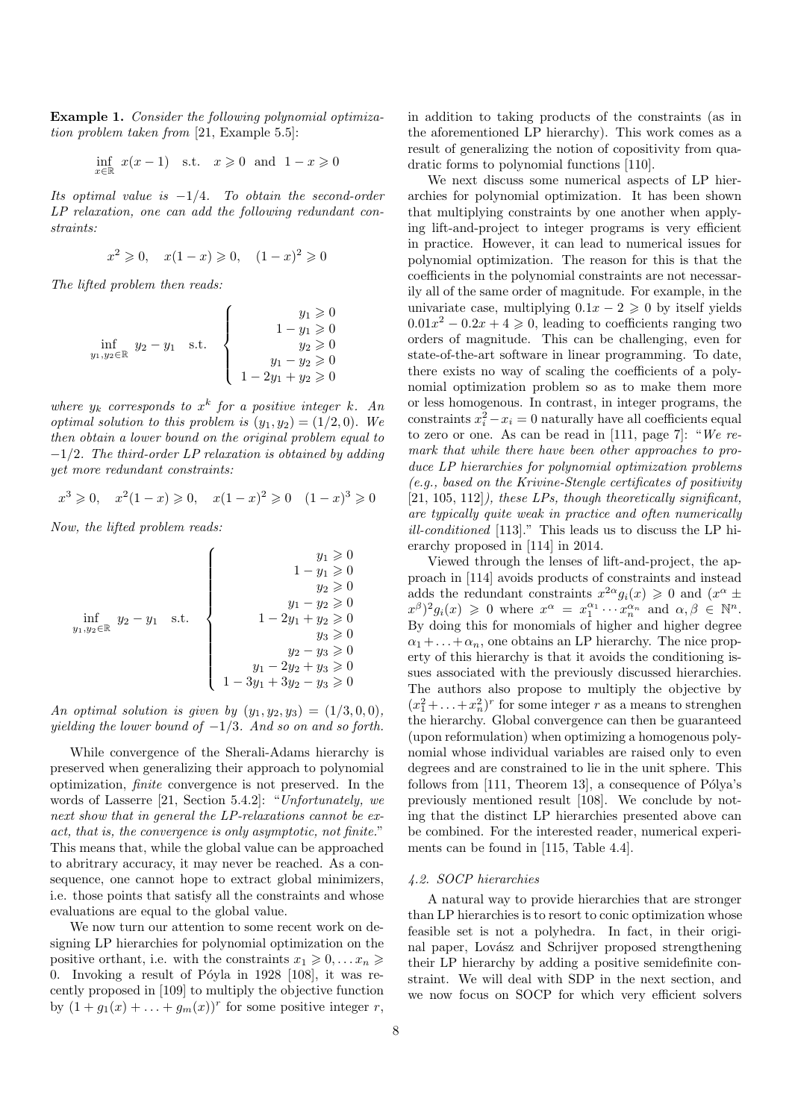Example 1. Consider the following polynomial optimization problem taken from [\[21,](#page-17-16) Example 5.5]:

$$
\inf_{x \in \mathbb{R}} x(x-1) \quad \text{s.t.} \quad x \geqslant 0 \quad \text{and} \quad 1-x \geqslant 0
$$

Its optimal value is  $-1/4$ . To obtain the second-order LP relaxation, one can add the following redundant constraints:

$$
x^2 \ge 0
$$
,  $x(1-x) \ge 0$ ,  $(1-x)^2 \ge 0$ 

The lifted problem then reads:

$$
\inf_{y_1, y_2 \in \mathbb{R}} y_2 - y_1 \quad \text{s.t.} \quad\n\begin{cases}\n y_1 \geqslant 0 \\
 1 - y_1 \geqslant 0 \\
 y_2 \geqslant 0 \\
 y_1 - y_2 \geqslant 0 \\
 1 - 2y_1 + y_2 \geqslant 0\n\end{cases}
$$

where  $y_k$  corresponds to  $x^k$  for a positive integer k. An optimal solution to this problem is  $(y_1, y_2) = (1/2, 0)$ . We then obtain a lower bound on the original problem equal to  $-1/2$ . The third-order LP relaxation is obtained by adding yet more redundant constraints:

$$
x^3 \ge 0
$$
,  $x^2(1-x) \ge 0$ ,  $x(1-x)^2 \ge 0$   $(1-x)^3 \ge 0$ 

Now, the lifted problem reads:

$$
\inf_{y_1, y_2 \in \mathbb{R}} y_2 - y_1 \quad \text{s.t.} \quad\n\begin{cases}\n\begin{aligned}\ny_1 &\geq 0 \\
1 - y_1 &\geq 0 \\
y_2 &\geq 0 \\
1 - 2y_1 + y_2 &\geq 0 \\
y_3 &\geq 0 \\
y_2 - y_3 &\geq 0 \\
y_1 - 2y_2 + y_3 &\geq 0 \\
1 - 3y_1 + 3y_2 - y_3 &\geq 0\n\end{aligned}\n\end{cases}
$$

An optimal solution is given by  $(y_1, y_2, y_3) = (1/3, 0, 0),$ yielding the lower bound of  $-1/3$ . And so on and so forth.

While convergence of the Sherali-Adams hierarchy is preserved when generalizing their approach to polynomial optimization, finite convergence is not preserved. In the words of Lasserre [\[21,](#page-17-16) Section 5.4.2]: "Unfortunately, we next show that in general the LP-relaxations cannot be exact, that is, the convergence is only asymptotic, not finite." This means that, while the global value can be approached to abritrary accuracy, it may never be reached. As a consequence, one cannot hope to extract global minimizers, i.e. those points that satisfy all the constraints and whose evaluations are equal to the global value.

We now turn our attention to some recent work on designing LP hierarchies for polynomial optimization on the positive orthant, i.e. with the constraints  $x_1 \geq 0, \ldots, x_n \geq 0$ 0. Invoking a result of Póyla in 1928  $[108]$ , it was recently proposed in [\[109\]](#page-19-16) to multiply the objective function by  $(1 + g_1(x) + \ldots + g_m(x))^r$  for some positive integer r, in addition to taking products of the constraints (as in the aforementioned LP hierarchy). This work comes as a result of generalizing the notion of copositivity from quadratic forms to polynomial functions [\[110\]](#page-19-17).

We next discuss some numerical aspects of LP hierarchies for polynomial optimization. It has been shown that multiplying constraints by one another when applying lift-and-project to integer programs is very efficient in practice. However, it can lead to numerical issues for polynomial optimization. The reason for this is that the coefficients in the polynomial constraints are not necessarily all of the same order of magnitude. For example, in the univariate case, multiplying  $0.1x - 2 \geq 0$  by itself yields  $0.01x^2 - 0.2x + 4 \geq 0$ , leading to coefficients ranging two orders of magnitude. This can be challenging, even for state-of-the-art software in linear programming. To date, there exists no way of scaling the coefficients of a polynomial optimization problem so as to make them more or less homogenous. In contrast, in integer programs, the constraints  $x_i^2 - x_i = 0$  naturally have all coefficients equal to zero or one. As can be read in [\[111,](#page-19-18) page 7]: "We remark that while there have been other approaches to produce LP hierarchies for polynomial optimization problems (e.g., based on the Krivine-Stengle certificates of positivity  $[21, 105, 112]$  $[21, 105, 112]$  $[21, 105, 112]$ , these LPs, though theoretically significant, are typically quite weak in practice and often numerically ill-conditioned [\[113\]](#page-19-20)." This leads us to discuss the LP hierarchy proposed in [\[114\]](#page-19-21) in 2014.

Viewed through the lenses of lift-and-project, the approach in [\[114\]](#page-19-21) avoids products of constraints and instead adds the redundant constraints  $x^{2\alpha} g_i(x) \geq 0$  and  $(x^{\alpha} \pm \alpha)$  $(x^{\beta})^2 g_i(x) \geq 0$  where  $x^{\alpha} = x_1^{\alpha_1} \cdots x_n^{\alpha_n}$  and  $\alpha, \beta \in \mathbb{N}^n$ . By doing this for monomials of higher and higher degree  $\alpha_1 + \ldots + \alpha_n$ , one obtains an LP hierarchy. The nice property of this hierarchy is that it avoids the conditioning issues associated with the previously discussed hierarchies. The authors also propose to multiply the objective by  $(x_1^2 + \ldots + x_n^2)^r$  for some integer r as a means to strenghen the hierarchy. Global convergence can then be guaranteed (upon reformulation) when optimizing a homogenous polynomial whose individual variables are raised only to even degrees and are constrained to lie in the unit sphere. This follows from  $[111,$  Theorem 13, a consequence of Pólya's previously mentioned result [\[108\]](#page-19-15). We conclude by noting that the distinct LP hierarchies presented above can be combined. For the interested reader, numerical experiments can be found in [\[115,](#page-19-22) Table 4.4].

### 4.2. SOCP hierarchies

A natural way to provide hierarchies that are stronger than LP hierarchies is to resort to conic optimization whose feasible set is not a polyhedra. In fact, in their original paper, Lovász and Schrijver proposed strengthening their LP hierarchy by adding a positive semidefinite constraint. We will deal with SDP in the next section, and we now focus on SOCP for which very efficient solvers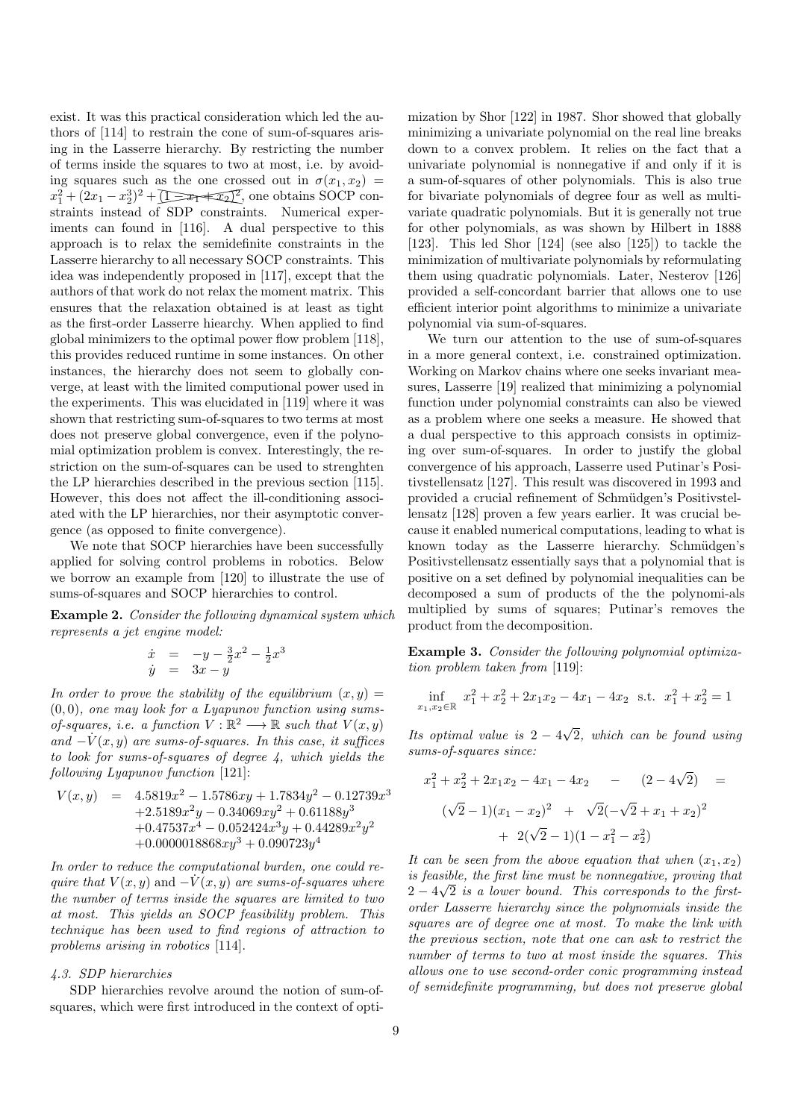exist. It was this practical consideration which led the authors of [\[114\]](#page-19-21) to restrain the cone of sum-of-squares arising in the Lasserre hierarchy. By restricting the number of terms inside the squares to two at most, i.e. by avoiding squares such as the one crossed out in  $\sigma(x_1, x_2)$  =  $x_1^2 + (2x_1 - x_2^3)^2 + \sqrt{1 - x_1 + x_2}$  one obtains SOCP constraints instead of SDP constraints. Numerical experiments can found in [\[116\]](#page-19-23). A dual perspective to this approach is to relax the semidefinite constraints in the Lasserre hierarchy to all necessary SOCP constraints. This idea was independently proposed in [\[117\]](#page-19-24), except that the authors of that work do not relax the moment matrix. This ensures that the relaxation obtained is at least as tight as the first-order Lasserre hiearchy. When applied to find global minimizers to the optimal power flow problem [\[118\]](#page-19-25), this provides reduced runtime in some instances. On other instances, the hierarchy does not seem to globally converge, at least with the limited computional power used in the experiments. This was elucidated in [\[119\]](#page-19-26) where it was shown that restricting sum-of-squares to two terms at most does not preserve global convergence, even if the polynomial optimization problem is convex. Interestingly, the restriction on the sum-of-squares can be used to strenghten the LP hierarchies described in the previous section [\[115\]](#page-19-22). However, this does not affect the ill-conditioning associated with the LP hierarchies, nor their asymptotic convergence (as opposed to finite convergence).

We note that SOCP hierarchies have been successfully applied for solving control problems in robotics. Below we borrow an example from [\[120\]](#page-19-27) to illustrate the use of sums-of-squares and SOCP hierarchies to control.

Example 2. Consider the following dynamical system which represents a jet engine model:

$$
\dot{x} = -y - \frac{3}{2}x^2 - \frac{1}{2}x^3 \n\dot{y} = 3x - y
$$

In order to prove the stability of the equilibrium  $(x, y) =$  $(0, 0)$ , one may look for a Lyapunov function using sumsof-squares, i.e. a function  $V : \mathbb{R}^2 \longrightarrow \mathbb{R}$  such that  $V(x, y)$ and  $-V(x, y)$  are sums-of-squares. In this case, it suffices to look for sums-of-squares of degree 4, which yields the following Lyapunov function [\[121\]](#page-19-28):

$$
\begin{array}{ll} V(x,y) & = & 4.5819 x^2 - 1.5786 x y + 1.7834 y^2 - 0.12739 x^3 \\ & & + 2.5189 x^2 y - 0.34069 x y^2 + 0.61188 y^3 \\ & & + 0.47537 x^4 - 0.052424 x^3 y + 0.44289 x^2 y^2 \\ & & + 0.0000018868 x y^3 + 0.090723 y^4 \end{array}
$$

In order to reduce the computational burden, one could require that  $V(x, y)$  and  $-V(x, y)$  are sums-of-squares where the number of terms inside the squares are limited to two at most. This yields an SOCP feasibility problem. This technique has been used to find regions of attraction to problems arising in robotics [\[114\]](#page-19-21).

### 4.3. SDP hierarchies

SDP hierarchies revolve around the notion of sum-ofsquares, which were first introduced in the context of opti-

mization by Shor [\[122\]](#page-19-29) in 1987. Shor showed that globally minimizing a univariate polynomial on the real line breaks down to a convex problem. It relies on the fact that a univariate polynomial is nonnegative if and only if it is a sum-of-squares of other polynomials. This is also true for bivariate polynomials of degree four as well as multivariate quadratic polynomials. But it is generally not true for other polynomials, as was shown by Hilbert in 1888 [\[123\]](#page-19-30). This led Shor [\[124\]](#page-19-31) (see also [\[125\]\)](#page-19-32) to tackle the minimization of multivariate polynomials by reformulating them using quadratic polynomials. Later, Nesterov [\[126\]](#page-19-33) provided a self-concordant barrier that allows one to use efficient interior point algorithms to minimize a univariate polynomial via sum-of-squares.

We turn our attention to the use of sum-of-squares in a more general context, i.e. constrained optimization. Working on Markov chains where one seeks invariant measures, Lasserre [\[19\]](#page-17-30) realized that minimizing a polynomial function under polynomial constraints can also be viewed as a problem where one seeks a measure. He showed that a dual perspective to this approach consists in optimizing over sum-of-squares. In order to justify the global convergence of his approach, Lasserre used Putinar's Positivstellensatz [\[127\]](#page-19-34). This result was discovered in 1993 and provided a crucial refinement of Schmüdgen's Positivstellensatz [\[128\]](#page-19-35) proven a few years earlier. It was crucial because it enabled numerical computations, leading to what is known today as the Lasserre hierarchy. Schmüdgen's Positivstellensatz essentially says that a polynomial that is positive on a set defined by polynomial inequalities can be decomposed a sum of products of the the polynomi-als multiplied by sums of squares; Putinar's removes the product from the decomposition.

Example 3. Consider the following polynomial optimization problem taken from [\[119\]:](#page-19-26)

$$
\inf_{x_1, x_2 \in \mathbb{R}} x_1^2 + x_2^2 + 2x_1x_2 - 4x_1 - 4x_2 \text{ s.t. } x_1^2 + x_2^2 = 1
$$

Its optimal value is  $2 - 4$ √ 2, which can be found using sums-of-squares since:

$$
x_1^2 + x_2^2 + 2x_1x_2 - 4x_1 - 4x_2 - (2 - 4\sqrt{2}) =
$$
  

$$
(\sqrt{2} - 1)(x_1 - x_2)^2 + \sqrt{2}(-\sqrt{2} + x_1 + x_2)^2
$$
  

$$
+ 2(\sqrt{2} - 1)(1 - x_1^2 - x_2^2)
$$

It can be seen from the above equation that when  $(x_1, x_2)$ is feasible, the first line must be nonnegative, proving that  $2-4\sqrt{2}$  is a lower bound. This corresponds to the firstorder Lasserre hierarchy since the polynomials inside the squares are of degree one at most. To make the link with the previous section, note that one can ask to restrict the number of terms to two at most inside the squares. This allows one to use second-order conic programming instead of semidefinite programming, but does not preserve global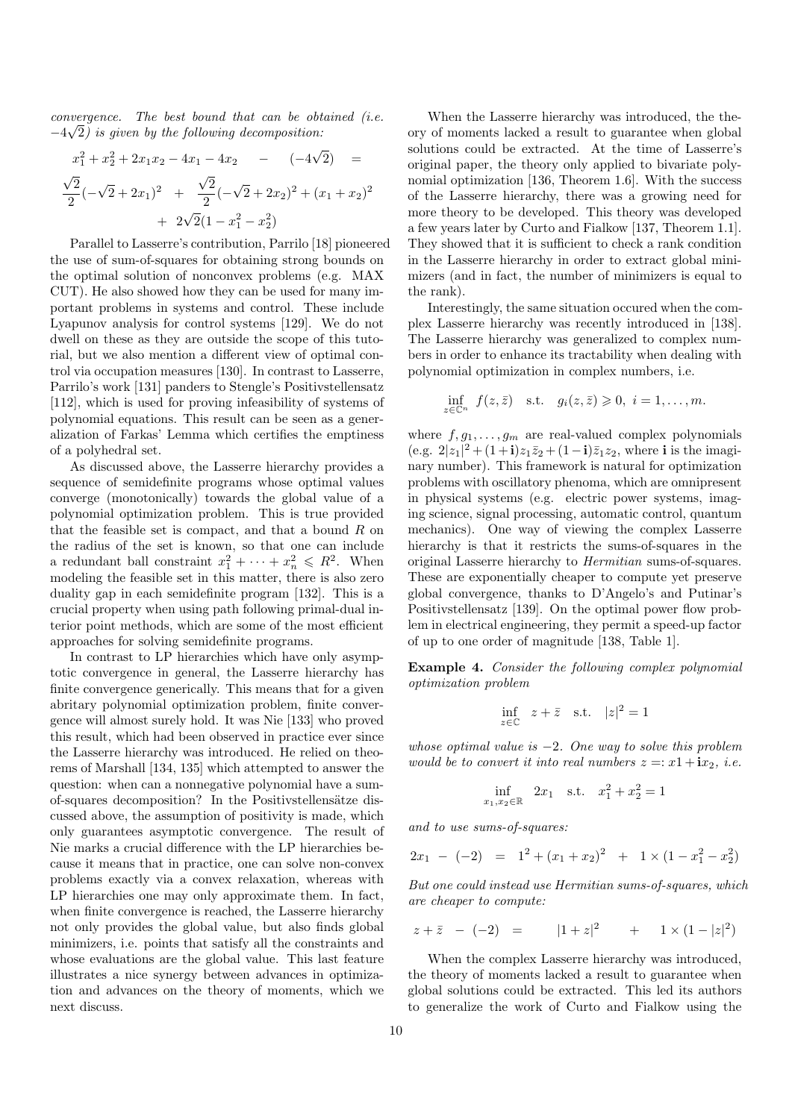$convergence.$  The best bound that can be obtained (i.e.  $-4\sqrt{2}$ ) is given by the following decomposition:

$$
x_1^2 + x_2^2 + 2x_1x_2 - 4x_1 - 4x_2 - (-4\sqrt{2}) =
$$
  

$$
\frac{\sqrt{2}}{2}(-\sqrt{2} + 2x_1)^2 + \frac{\sqrt{2}}{2}(-\sqrt{2} + 2x_2)^2 + (x_1 + x_2)^2
$$
  

$$
+ 2\sqrt{2}(1 - x_1^2 - x_2^2)
$$

Parallel to Lasserre's contribution, Parrilo [\[18\]](#page-17-15) pioneered the use of sum-of-squares for obtaining strong bounds on the optimal solution of nonconvex problems (e.g. MAX CUT). He also showed how they can be used for many important problems in systems and control. These include Lyapunov analysis for control systems [\[129\]](#page-19-36). We do not dwell on these as they are outside the scope of this tutorial, but we also mention a different view of optimal control via occupation measures [\[130\]](#page-19-37). In contrast to Lasserre, Parrilo's work [\[131\]](#page-19-38) panders to Stengle's Positivstellensatz [\[112\]](#page-19-19), which is used for proving infeasibility of systems of polynomial equations. This result can be seen as a generalization of Farkas' Lemma which certifies the emptiness of a polyhedral set.

As discussed above, the Lasserre hierarchy provides a sequence of semidefinite programs whose optimal values converge (monotonically) towards the global value of a polynomial optimization problem. This is true provided that the feasible set is compact, and that a bound  $R$  on the radius of the set is known, so that one can include a redundant ball constraint  $x_1^2 + \cdots + x_n^2 \le R^2$ . When modeling the feasible set in this matter, there is also zero duality gap in each semidefinite program [\[132\]](#page-19-39). This is a crucial property when using path following primal-dual interior point methods, which are some of the most efficient approaches for solving semidefinite programs.

In contrast to LP hierarchies which have only asymptotic convergence in general, the Lasserre hierarchy has finite convergence generically. This means that for a given abritary polynomial optimization problem, finite convergence will almost surely hold. It was Nie [\[133\]](#page-19-40) who proved this result, which had been observed in practice ever since the Lasserre hierarchy was introduced. He relied on theorems of Marshall [\[134,](#page-19-41) [135\]](#page-19-42) which attempted to answer the question: when can a nonnegative polynomial have a sumof-squares decomposition? In the Positivstellensätze discussed above, the assumption of positivity is made, which only guarantees asymptotic convergence. The result of Nie marks a crucial difference with the LP hierarchies because it means that in practice, one can solve non-convex problems exactly via a convex relaxation, whereas with LP hierarchies one may only approximate them. In fact, when finite convergence is reached, the Lasserre hierarchy not only provides the global value, but also finds global minimizers, i.e. points that satisfy all the constraints and whose evaluations are the global value. This last feature illustrates a nice synergy between advances in optimization and advances on the theory of moments, which we next discuss.

When the Lasserre hierarchy was introduced, the theory of moments lacked a result to guarantee when global solutions could be extracted. At the time of Lasserre's original paper, the theory only applied to bivariate polynomial optimization [\[136,](#page-19-43) Theorem 1.6]. With the success of the Lasserre hierarchy, there was a growing need for more theory to be developed. This theory was developed a few years later by Curto and Fialkow [\[137,](#page-19-44) Theorem 1.1]. They showed that it is sufficient to check a rank condition in the Lasserre hierarchy in order to extract global minimizers (and in fact, the number of minimizers is equal to the rank).

Interestingly, the same situation occured when the complex Lasserre hierarchy was recently introduced in [\[138\]](#page-19-45). The Lasserre hierarchy was generalized to complex numbers in order to enhance its tractability when dealing with polynomial optimization in complex numbers, i.e.

$$
\inf_{z \in \mathbb{C}^n} f(z, \bar{z}) \quad \text{s.t.} \quad g_i(z, \bar{z}) \geqslant 0, \ i = 1, \dots, m.
$$

where  $f, g_1, \ldots, g_m$  are real-valued complex polynomials (e.g.  $2|z_1|^2 + (1+i)z_1\bar{z}_2 + (1-i)\bar{z}_1z_2$ , where **i** is the imaginary number). This framework is natural for optimization problems with oscillatory phenoma, which are omnipresent in physical systems (e.g. electric power systems, imaging science, signal processing, automatic control, quantum mechanics). One way of viewing the complex Lasserre hierarchy is that it restricts the sums-of-squares in the original Lasserre hierarchy to Hermitian sums-of-squares. These are exponentially cheaper to compute yet preserve global convergence, thanks to D'Angelo's and Putinar's Positivstellensatz [\[139\]](#page-20-0). On the optimal power flow problem in electrical engineering, they permit a speed-up factor of up to one order of magnitude [\[138,](#page-19-45) Table 1].

Example 4. Consider the following complex polynomial optimization problem

$$
\inf_{z \in \mathbb{C}} z + \bar{z} \quad \text{s.t.} \quad |z|^2 = 1
$$

whose optimal value is  $-2$ . One way to solve this problem would be to convert it into real numbers  $z =: x1 + \mathbf{i}x_2, i.e.$ 

$$
\inf_{x_1, x_2 \in \mathbb{R}} 2x_1 \quad \text{s.t.} \quad x_1^2 + x_2^2 = 1
$$

and to use sums-of-squares:

$$
2x_1 - (-2) = 1^2 + (x_1 + x_2)^2 + 1 \times (1 - x_1^2 - x_2^2)
$$

But one could instead use Hermitian sums-of-squares, which are cheaper to compute:

$$
z + \bar{z} - (-2) = |1 + z|^2 + 1 \times (1 - |z|^2)
$$

When the complex Lasserre hierarchy was introduced, the theory of moments lacked a result to guarantee when global solutions could be extracted. This led its authors to generalize the work of Curto and Fialkow using the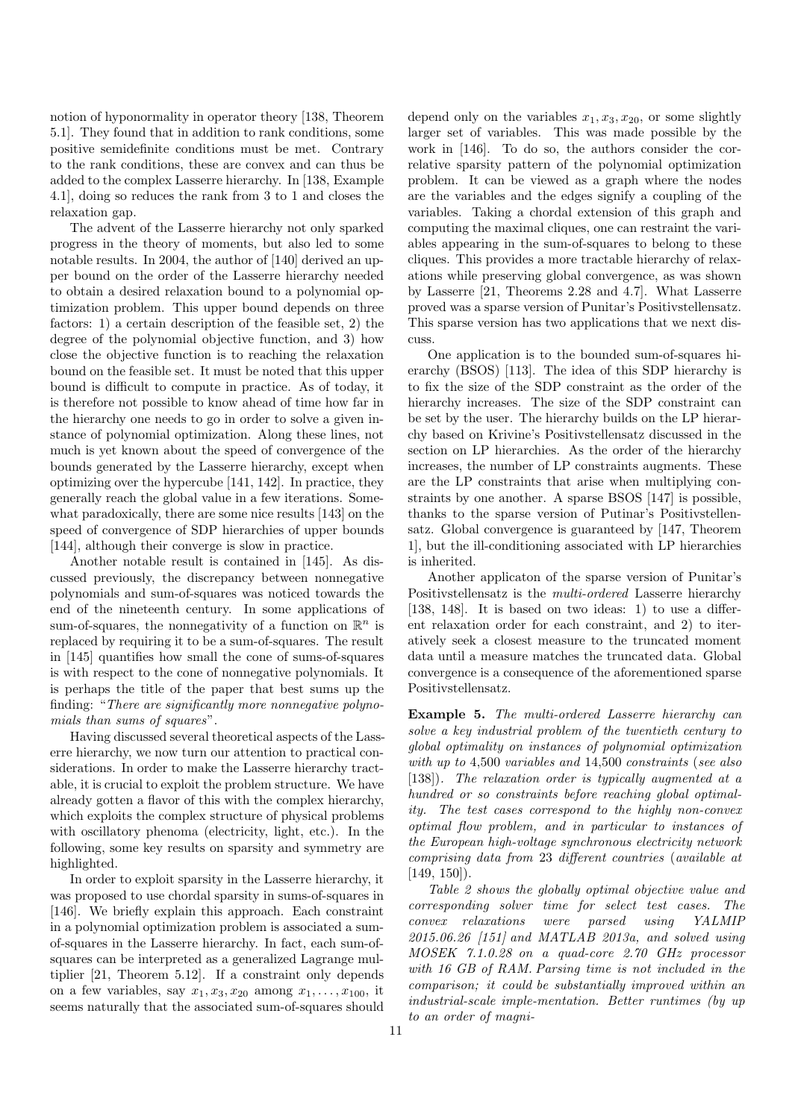notion of hyponormality in operator theory [\[138,](#page-19-45) Theorem 5.1]. They found that in addition to rank conditions, some positive semidefinite conditions must be met. Contrary to the rank conditions, these are convex and can thus be added to the complex Lasserre hierarchy. In [\[138,](#page-19-45) Example 4.1], doing so reduces the rank from 3 to 1 and closes the relaxation gap.

The advent of the Lasserre hierarchy not only sparked progress in the theory of moments, but also led to some notable results. In 2004, the author of [\[140\]](#page-20-1) derived an upper bound on the order of the Lasserre hierarchy needed to obtain a desired relaxation bound to a polynomial optimization problem. This upper bound depends on three factors: 1) a certain description of the feasible set, 2) the degree of the polynomial objective function, and 3) how close the objective function is to reaching the relaxation bound on the feasible set. It must be noted that this upper bound is difficult to compute in practice. As of today, it is therefore not possible to know ahead of time how far in the hierarchy one needs to go in order to solve a given instance of polynomial optimization. Along these lines, not much is yet known about the speed of convergence of the bounds generated by the Lasserre hierarchy, except when optimizing over the hypercube [\[141,](#page-20-2) [142\]](#page-20-3). In practice, they generally reach the global value in a few iterations. Somewhat paradoxically, there are some nice results [\[143\]](#page-20-4) on the speed of convergence of SDP hierarchies of upper bounds [\[144\]](#page-20-5), although their converge is slow in practice.

Another notable result is contained in [\[145\]](#page-20-6). As discussed previously, the discrepancy between nonnegative polynomials and sum-of-squares was noticed towards the end of the nineteenth century. In some applications of sum-of-squares, the nonnegativity of a function on  $\mathbb{R}^n$  is replaced by requiring it to be a sum-of-squares. The result in [\[145\]](#page-20-6) quantifies how small the cone of sums-of-squares is with respect to the cone of nonnegative polynomials. It is perhaps the title of the paper that best sums up the finding: "There are significantly more nonnegative polynomials than sums of squares".

Having discussed several theoretical aspects of the Lasserre hierarchy, we now turn our attention to practical considerations. In order to make the Lasserre hierarchy tractable, it is crucial to exploit the problem structure. We have already gotten a flavor of this with the complex hierarchy, which exploits the complex structure of physical problems with oscillatory phenoma (electricity, light, etc.). In the following, some key results on sparsity and symmetry are highlighted.

In order to exploit sparsity in the Lasserre hierarchy, it was proposed to use chordal sparsity in sums-of-squares in [\[146\]](#page-20-7). We briefly explain this approach. Each constraint in a polynomial optimization problem is associated a sumof-squares in the Lasserre hierarchy. In fact, each sum-ofsquares can be interpreted as a generalized Lagrange multiplier [\[21,](#page-17-16) Theorem 5.12]. If a constraint only depends on a few variables, say  $x_1, x_3, x_{20}$  among  $x_1, \ldots, x_{100}$ , it seems naturally that the associated sum-of-squares should

depend only on the variables  $x_1, x_3, x_{20}$ , or some slightly larger set of variables. This was made possible by the work in [\[146\].](#page-20-7) To do so, the authors consider the correlative sparsity pattern of the polynomial optimization problem. It can be viewed as a graph where the nodes are the variables and the edges signify a coupling of the variables. Taking a chordal extension of this graph and computing the maximal cliques, one can restraint the variables appearing in the sum-of-squares to belong to these cliques. This provides a more tractable hierarchy of relaxations while preserving global convergence, as was shown by Lasserre [\[21,](#page-17-16) Theorems 2.28 and 4.7]. What Lasserre proved was a sparse version of Punitar's Positivstellensatz. This sparse version has two applications that we next discuss.

One application is to the bounded sum-of-squares hierarchy (BSOS) [\[113\]](#page-19-20). The idea of this SDP hierarchy is to fix the size of the SDP constraint as the order of the hierarchy increases. The size of the SDP constraint can be set by the user. The hierarchy builds on the LP hierarchy based on Krivine's Positivstellensatz discussed in the section on LP hierarchies. As the order of the hierarchy increases, the number of LP constraints augments. These are the LP constraints that arise when multiplying constraints by one another. A sparse BSOS [\[147\]](#page-20-8) is possible, thanks to the sparse version of Putinar's Positivstellensatz. Global convergence is guaranteed by [\[147,](#page-20-8) Theorem 1], but the ill-conditioning associated with LP hierarchies is inherited.

Another applicaton of the sparse version of Punitar's Positivstellensatz is the multi-ordered Lasserre hierarchy [\[138,](#page-19-45) [148\]](#page-20-9). It is based on two ideas: 1) to use a different relaxation order for each constraint, and 2) to iteratively seek a closest measure to the truncated moment data until a measure matches the truncated data. Global convergence is a consequence of the aforementioned sparse Positivstellensatz.

<span id="page-10-0"></span>Example 5. The multi-ordered Lasserre hierarchy can solve a key industrial problem of the twentieth century to global optimality on instances of polynomial optimization with up to 4,500 variables and 14,500 constraints (see also [\[138\]](#page-19-45)). The relaxation order is typically augmented at a hundred or so constraints before reaching global optimality. The test cases correspond to the highly non-convex optimal flow problem, and in particular to instances of the European high-voltage synchronous electricity network comprising data from 23 different countries (available at  $[149, 150]$  $[149, 150]$  $[149, 150]$ .

Table [2](#page-11-1) shows the globally optimal objective value and corresponding solver time for select test cases. The convex relaxations were parsed using YALMIP 2015.06.26 [\[151\]](#page-20-12) and MATLAB 2013a, and solved using MOSEK 7.1.0.28 on a quad-core 2.70 GHz processor with 16 GB of RAM. Parsing time is not included in the comparison; it could be substantially improved within an industrial-scale imple-mentation. Better runtimes (by up to an order of magni-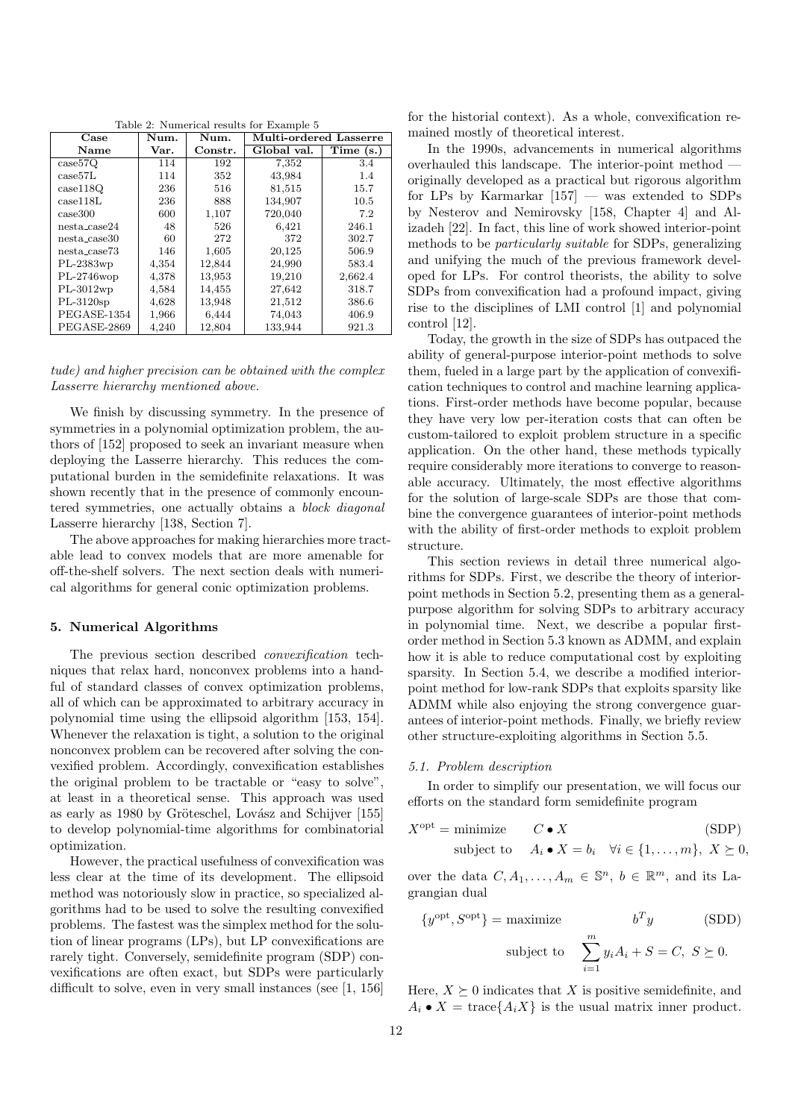<span id="page-11-1"></span>Table 2: Numerical results for Example [5](#page-10-0)

| Case          | Num.  | Num.    | Multi-ordered Lasserre |             |
|---------------|-------|---------|------------------------|-------------|
| Name          | Var.  | Constr. | Global val.            | Time $(s.)$ |
| case57Q       | 114   | 192     | 7,352                  | 3.4         |
| case57L       | 114   | 352     | 43,984                 | 1.4         |
| case118O      | 236   | 516     | 81,515                 | 15.7        |
| case118L      | 236   | 888     | 134,907                | 10.5        |
| case300       | 600   | 1,107   | 720,040                | 7.2         |
| nesta case24  | 48    | 526     | 6,421                  | 246.1       |
| nesta_case30  | 60    | 272     | 372                    | 302.7       |
| nesta_case73  | 146   | 1,605   | 20,125                 | 506.9       |
| $PL-2383wp$   | 4,354 | 12,844  | 24,990                 | 583.4       |
| $PL-2746$ wop | 4,378 | 13,953  | 19,210                 | 2,662.4     |
| $PL-3012wp$   | 4,584 | 14,455  | 27,642                 | 318.7       |
| $PL-3120sp$   | 4,628 | 13,948  | 21,512                 | 386.6       |
| PEGASE-1354   | 1,966 | 6,444   | 74,043                 | 406.9       |
| PEGASE-2869   | 4,240 | 12,804  | 133,944                | 921.3       |

### tude) and higher precision can be obtained with the complex Lasserre hierarchy mentioned above.

We finish by discussing symmetry. In the presence of symmetries in a polynomial optimization problem, the authors of [\[152\]](#page-20-13) proposed to seek an invariant measure when deploying the Lasserre hierarchy. This reduces the computational burden in the semidefinite relaxations. It was shown recently that in the presence of commonly encountered symmetries, one actually obtains a block diagonal Lasserre hierarchy [\[138,](#page-19-45) Section 7].

The above approaches for making hierarchies more tractable lead to convex models that are more amenable for off-the-shelf solvers. The next section deals with numerical algorithms for general conic optimization problems.

### <span id="page-11-0"></span>5. Numerical Algorithms

The previous section described convexification techniques that relax hard, nonconvex problems into a handful of standard classes of convex optimization problems, all of which can be approximated to arbitrary accuracy in polynomial time using the ellipsoid algorithm [\[153,](#page-20-14) [154\]](#page-20-15). Whenever the relaxation is tight, a solution to the original nonconvex problem can be recovered after solving the convexified problem. Accordingly, convexification establishes the original problem to be tractable or "easy to solve", at least in a theoretical sense. This approach was used as early as 1980 by Gröteschel, Lovász and Schijver [\[155\]](#page-20-16) to develop polynomial-time algorithms for combinatorial optimization.

However, the practical usefulness of convexification was less clear at the time of its development. The ellipsoid method was notoriously slow in practice, so specialized algorithms had to be used to solve the resulting convexified problems. The fastest was the simplex method for the solution of linear programs (LPs), but LP convexifications are rarely tight. Conversely, semidefinite program (SDP) convexifications are often exact, but SDPs were particularly difficult to solve, even in very small instances (see [\[1,](#page-17-0) [156\]](#page-20-17)

for the historial context). As a whole, convexification remained mostly of theoretical interest.

In the 1990s, advancements in numerical algorithms overhauled this landscape. The interior-point method originally developed as a practical but rigorous algorithm for LPs by Karmarkar  $[157]$  — was extended to SDPs by Nesterov and Nemirovsky [\[158,](#page-20-19) Chapter 4] and Alizadeh [\[22\].](#page-17-17) In fact, this line of work showed interior-point methods to be particularly suitable for SDPs, generalizing and unifying the much of the previous framework developed for LPs. For control theorists, the ability to solve SDPs from convexification had a profound impact, giving rise to the disciplines of LMI control [\[1\]](#page-17-0) and polynomial control [\[12\].](#page-17-10)

Today, the growth in the size of SDPs has outpaced the ability of general-purpose interior-point methods to solve them, fueled in a large part by the application of convexification techniques to control and machine learning applications. First-order methods have become popular, because they have very low per-iteration costs that can often be custom-tailored to exploit problem structure in a specific application. On the other hand, these methods typically require considerably more iterations to converge to reasonable accuracy. Ultimately, the most effective algorithms for the solution of large-scale SDPs are those that combine the convergence guarantees of interior-point methods with the ability of first-order methods to exploit problem structure.

This section reviews in detail three numerical algorithms for SDPs. First, we describe the theory of interiorpoint methods in Section [5.2,](#page-12-0) presenting them as a generalpurpose algorithm for solving SDPs to arbitrary accuracy in polynomial time. Next, we describe a popular firstorder method in Section [5.3](#page-13-0) known as ADMM, and explain how it is able to reduce computational cost by exploiting sparsity. In Section [5.4,](#page-15-0) we describe a modified interiorpoint method for low-rank SDPs that exploits sparsity like ADMM while also enjoying the strong convergence guarantees of interior-point methods. Finally, we briefly review other structure-exploiting algorithms in Section [5.5.](#page-16-0)

#### 5.1. Problem description

In order to simplify our presentation, we will focus our efforts on the standard form semidefinite program

<span id="page-11-2"></span>
$$
X^{\text{opt}} = \text{minimize} \qquad C \bullet X \tag{SDP}
$$
  
subject to  $A_i \bullet X = b_i \quad \forall i \in \{1, ..., m\}, \ X \succeq 0,$ 

over the data  $C, A_1, \ldots, A_m \in \mathbb{S}^n$ ,  $b \in \mathbb{R}^m$ , and its Lagrangian dual

<span id="page-11-3"></span>
$$
\{y^{\text{opt}}, S^{\text{opt}}\} = \text{maximize} \qquad b^T y \qquad \text{(SDD)}
$$
  
subject to 
$$
\sum_{i=1}^m y_i A_i + S = C, \ S \succeq 0.
$$

Here,  $X \succeq 0$  indicates that X is positive semidefinite, and  $A_i \bullet X = \text{trace}\{A_i X\}$  is the usual matrix inner product.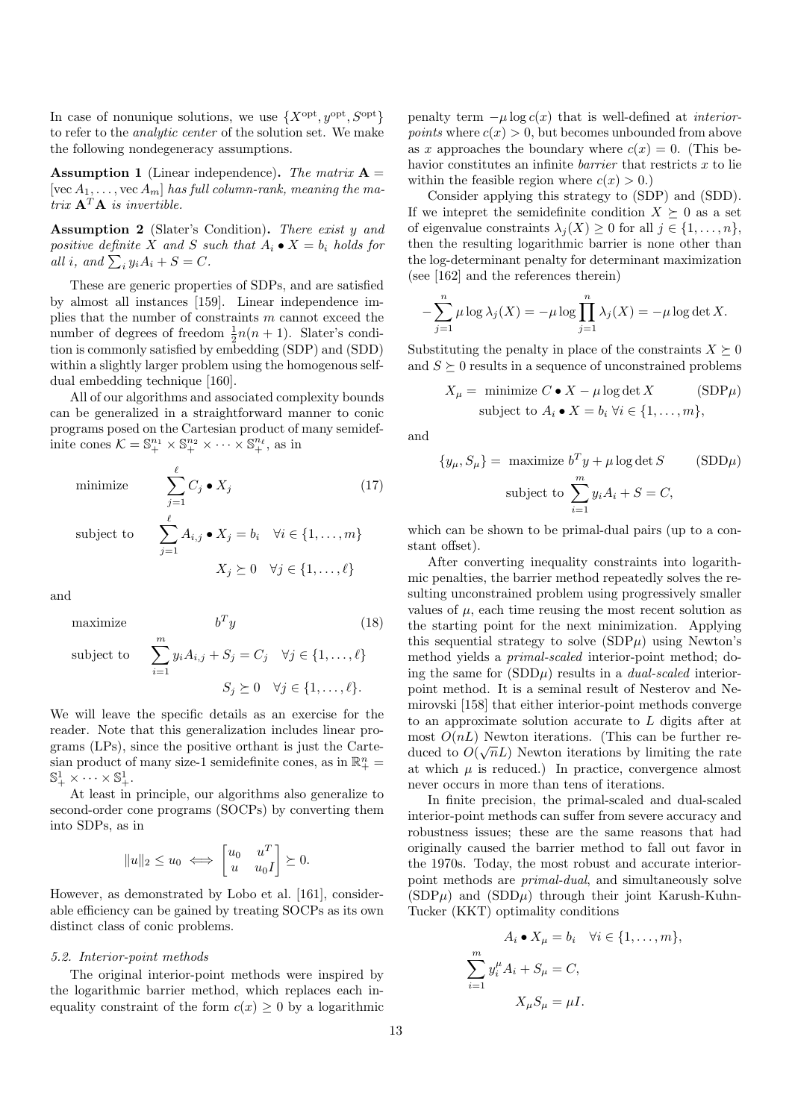In case of nonunique solutions, we use  $\{X^{\text{opt}}, y^{\text{opt}}, S^{\text{opt}}\}$ to refer to the analytic center of the solution set. We make the following nondegeneracy assumptions.

<span id="page-12-4"></span>**Assumption 1** (Linear independence). The matrix  $A =$ [vec  $A_1, \ldots$ , vec  $A_m$ ] has full column-rank, meaning the matrix  $\mathbf{A}^T \mathbf{A}$  is invertible.

Assumption 2 (Slater's Condition). There exist y and positive definite X and S such that  $A_i \bullet X = b_i$  holds for all i, and  $\sum_i y_i A_i + S = C$ .

These are generic properties of SDPs, and are satisfied by almost all instances [\[159\]](#page-20-20). Linear independence implies that the number of constraints m cannot exceed the number of degrees of freedom  $\frac{1}{2}n(n + 1)$ . Slater's condition is commonly satisfied by embedding [\(SDP\)](#page-11-2) and [\(SDD\)](#page-11-3) within a slightly larger problem using the homogenous selfdual embedding technique [\[160\]](#page-20-21).

All of our algorithms and associated complexity bounds can be generalized in a straightforward manner to conic programs posed on the Cartesian product of many semidefinite cones  $\mathcal{K} = \mathbb{S}^{n_1}_+ \times \mathbb{S}^{n_2}_+ \times \cdots \times \mathbb{S}^{n_\ell}_+$ , as in

minimize 
$$
\sum_{j=1}^{\ell} C_j \bullet X_j
$$
 (17)  
subject to 
$$
\sum_{j=1}^{\ell} A_{i,j} \bullet X_j = b_i \quad \forall i \in \{1, ..., m\}
$$

$$
X_j \succeq 0 \quad \forall j \in \{1, ..., \ell\}
$$

and

maximize b

subject to  $\sum_{n=1}^{m}$  $i=1$  $y_iA_{i,j} + S_j = C_j \quad \forall j \in \{1, \ldots, \ell\}$  $S_j \succeq 0 \quad \forall j \in \{1, \ldots, \ell\}.$ 

 $b^T u$ 

 $y \hspace{1.5cm} (18)$ 

We will leave the specific details as an exercise for the reader. Note that this generalization includes linear programs (LPs), since the positive orthant is just the Cartesian product of many size-1 semidefinite cones, as in  $\mathbb{R}^n_+$  =  $\mathbb{S}^1_+ \times \cdots \times \mathbb{S}^1_+.$ 

At least in principle, our algorithms also generalize to second-order cone programs (SOCPs) by converting them into SDPs, as in

$$
||u||_2 \le u_0 \iff \begin{bmatrix} u_0 & u^T \\ u & u_0 I \end{bmatrix} \succeq 0.
$$

However, as demonstrated by Lobo et al. [\[161\]](#page-20-22), considerable efficiency can be gained by treating SOCPs as its own distinct class of conic problems.

#### <span id="page-12-0"></span>5.2. Interior-point methods

The original interior-point methods were inspired by the logarithmic barrier method, which replaces each inequality constraint of the form  $c(x) \geq 0$  by a logarithmic penalty term  $-\mu \log c(x)$  that is well-defined at *interiorpoints* where  $c(x) > 0$ , but becomes unbounded from above as x approaches the boundary where  $c(x) = 0$ . (This behavior constitutes an infinite *barrier* that restricts  $x$  to lie within the feasible region where  $c(x) > 0.$ 

Consider applying this strategy to [\(SDP\)](#page-11-2) and [\(SDD\)](#page-11-3). If we intepret the semidefinite condition  $X \succeq 0$  as a set of eigenvalue constraints  $\lambda_i(X) \geq 0$  for all  $i \in \{1, \ldots, n\}$ , then the resulting logarithmic barrier is none other than the log-determinant penalty for determinant maximization (see [\[162\]](#page-20-23) and the references therein)

$$
-\sum_{j=1}^{n} \mu \log \lambda_j(X) = -\mu \log \prod_{j=1}^{n} \lambda_j(X) = -\mu \log \det X.
$$

Substituting the penalty in place of the constraints  $X \succeq 0$ and  $S \succeq 0$  results in a sequence of unconstrained problems

<span id="page-12-2"></span><span id="page-12-1"></span>
$$
X_{\mu} = \text{minimize } C \bullet X - \mu \log \det X \qquad (\text{SDP}\mu)
$$
  
subject to  $A_i \bullet X = b_i \forall i \in \{1, ..., m\},$ 

and

$$
\{y_{\mu}, S_{\mu}\} = \text{ maximize } b^T y + \mu \log \det S \qquad (\text{SDD}\mu)
$$
  
subject to 
$$
\sum_{i=1}^{m} y_i A_i + S = C,
$$

which can be shown to be primal-dual pairs (up to a constant offset).

After converting inequality constraints into logarithmic penalties, the barrier method repeatedly solves the resulting unconstrained problem using progressively smaller values of  $\mu$ , each time reusing the most recent solution as the starting point for the next minimization. Applying this sequential strategy to solve  $(SDP\mu)$  $(SDP\mu)$  using Newton's method yields a primal-scaled interior-point method; doing the same for  $(SDD\mu)$  $(SDD\mu)$  results in a *dual-scaled* interiorpoint method. It is a seminal result of Nesterov and Nemirovski [\[158\]](#page-20-19) that either interior-point methods converge to an approximate solution accurate to L digits after at most  $O(nL)$  Newton iterations. (This can be further reduced to  $O(\sqrt{n}L)$  Newton iterations by limiting the rate at which  $\mu$  is reduced.) In practice, convergence almost never occurs in more than tens of iterations.

In finite precision, the primal-scaled and dual-scaled interior-point methods can suffer from severe accuracy and robustness issues; these are the same reasons that had originally caused the barrier method to fall out favor in the 1970s. Today, the most robust and accurate interiorpoint methods are primal-dual, and simultaneously solve  $(SDP\mu)$  $(SDP\mu)$  and  $(SDD\mu)$  $(SDD\mu)$  through their joint Karush-Kuhn-Tucker (KKT) optimality conditions

<span id="page-12-3"></span>
$$
A_i \bullet X_{\mu} = b_i \quad \forall i \in \{1, \dots, m\},
$$
  

$$
\sum_{i=1}^{m} y_i^{\mu} A_i + S_{\mu} = C,
$$
  

$$
X_{\mu} S_{\mu} = \mu I.
$$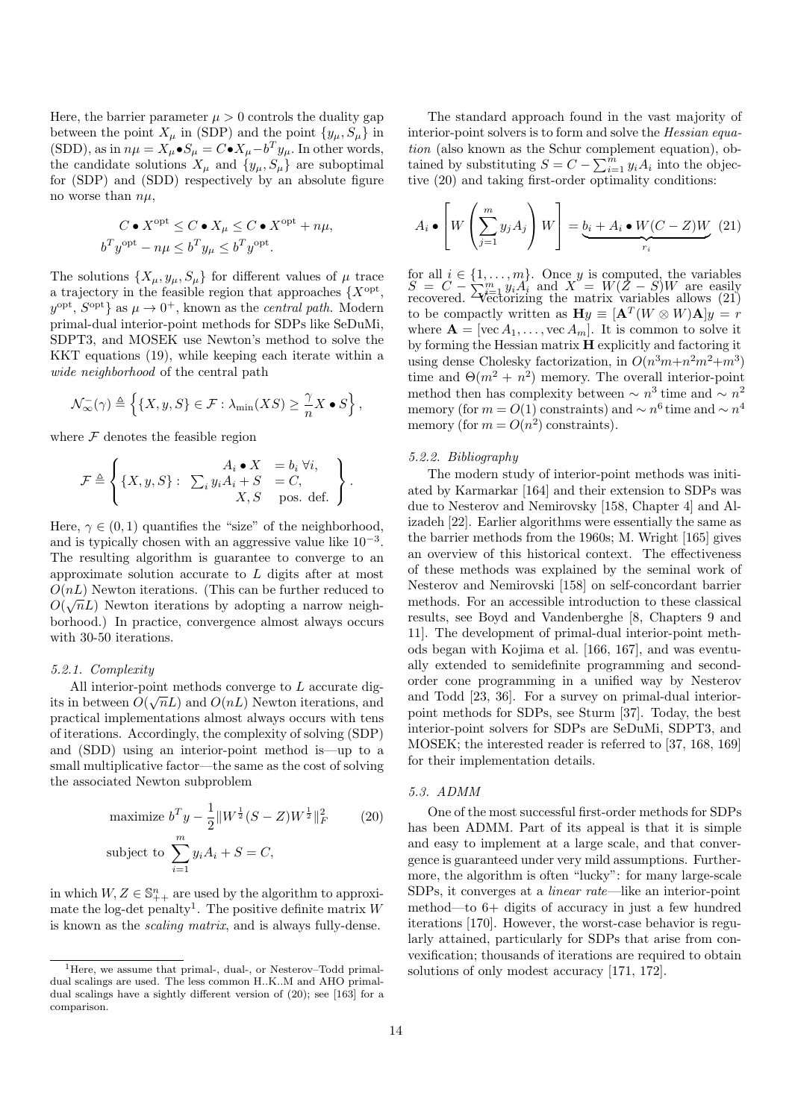Here, the barrier parameter  $\mu > 0$  controls the duality gap between the point  $X_\mu$  in [\(SDP\)](#page-11-2) and the point  $\{y_\mu, S_\mu\}$  in [\(SDD\)](#page-11-3), as in  $n\mu = X_\mu \bullet S_\mu = C \bullet X_\mu - b^T y_\mu$ . In other words, the candidate solutions  $X_{\mu}$  and  $\{y_{\mu}, S_{\mu}\}\$ are suboptimal for [\(SDP\)](#page-11-2) and [\(SDD\)](#page-11-3) respectively by an absolute figure no worse than  $n\mu$ ,

$$
C \bullet X^{\text{opt}} \leq C \bullet X_{\mu} \leq C \bullet X^{\text{opt}} + n\mu,
$$
  

$$
b^T y^{\text{opt}} - n\mu \leq b^T y_{\mu} \leq b^T y^{\text{opt}}.
$$

The solutions  $\{X_{\mu}, y_{\mu}, S_{\mu}\}\$ for different values of  $\mu$  trace a trajectory in the feasible region that approaches  $\{X^{\text{opt}},\}$  $y^{\text{opt}}, S^{\text{opt}}$  as  $\mu \to 0^+$ , known as the *central path*. Modern primal-dual interior-point methods for SDPs like SeDuMi, SDPT3, and MOSEK use Newton's method to solve the KKT equations [\(19\)](#page-12-3), while keeping each iterate within a wide neighborhood of the central path

$$
\mathcal{N}_{\infty}^{-}(\gamma) \triangleq \left\{ \{ X, y, S \} \in \mathcal{F} : \lambda_{\min}(XS) \geq \frac{\gamma}{n} X \bullet S \right\},\
$$

where  $F$  denotes the feasible region

$$
\mathcal{F} \triangleq \left\{ \{X, y, S\} : \begin{array}{c} A_i \bullet X = b_i \ \forall i, \\ \sum_i y_i A_i + S = C, \\ X, S \quad \text{pos. def.} \end{array} \right\}.
$$

Here,  $\gamma \in (0, 1)$  quantifies the "size" of the neighborhood, and is typically chosen with an aggressive value like  $10^{-3}$ . The resulting algorithm is guarantee to converge to an approximate solution accurate to L digits after at most  $O(nL)$  Newton iterations. (This can be further reduced to  $O(\sqrt{n}L)$  Newton iterations by adopting a narrow neighborhood.) In practice, convergence almost always occurs with 30-50 iterations.

#### 5.2.1. Complexity

All interior-point methods converge to L accurate digits in between  $O(\sqrt{n}L)$  and  $O(nL)$  Newton iterations, and practical implementations almost always occurs with tens of iterations. Accordingly, the complexity of solving [\(SDP\)](#page-11-2) and [\(SDD\)](#page-11-3) using an interior-point method is—up to a small multiplicative factor—the same as the cost of solving the associated Newton subproblem

maximize 
$$
b^T y - \frac{1}{2} ||W^{\frac{1}{2}}(S - Z)W^{\frac{1}{2}}||_F^2
$$
 (20)  
subject to 
$$
\sum_{i=1}^m y_i A_i + S = C,
$$

in which  $W, Z \in \mathbb{S}_{++}^n$  are used by the algorithm to approxi-mate the log-det penalty<sup>[1](#page-13-1)</sup>. The positive definite matrix  $W$ is known as the scaling matrix, and is always fully-dense.

The standard approach found in the vast majority of interior-point solvers is to form and solve the *Hessian equa*tion (also known as the Schur complement equation), obtained by substituting  $S = C - \sum_{i=1}^{m} y_i A_i$  into the objective [\(20\)](#page-13-2) and taking first-order optimality conditions:

<span id="page-13-3"></span>
$$
A_i \bullet \left[ W \left( \sum_{j=1}^m y_j A_j \right) W \right] = \underbrace{b_i + A_i \bullet W (C - Z) W}_{r_i} \tag{21}
$$

for all  $i \in \{1, \ldots, m\}$ . Once y is computed, the variables  $S = C - \sum_{i=1}^{m} y_i A_i$  and  $X = W(\hat{Z} - S)W$  are easily recovered.  $\widehat{\mathcal{Y}}$  exterising the matrix variables allows [\(21\)](#page-13-3) to be compactly written as  $\mathbf{H}y \equiv [\mathbf{A}^T(W \otimes W)\mathbf{A}]y = r$ where  $\mathbf{A} = [\text{vec } A_1, \dots, \text{vec } A_m]$ . It is common to solve it by forming the Hessian matrix H explicitly and factoring it using dense Cholesky factorization, in  $O(n^3m+n^2m^2+m^3)$ time and  $\Theta(m^2 + n^2)$  memory. The overall interior-point method then has complexity between  $\sim n^3$  time and  $\sim n^2$ memory (for  $m = O(1)$  constraints) and  $\sim n^6$  time and  $\sim n^4$ memory (for  $m = O(n^2)$  constraints).

#### 5.2.2. Bibliography

The modern study of interior-point methods was initiated by Karmarkar [\[164\]](#page-20-25) and their extension to SDPs was due to Nesterov and Nemirovsky [\[158,](#page-20-19) Chapter 4] and Alizadeh [\[22\]](#page-17-17). Earlier algorithms were essentially the same as the barrier methods from the 1960s; M. Wright [\[165\]](#page-20-26) gives an overview of this historical context. The effectiveness of these methods was explained by the seminal work of Nesterov and Nemirovski [\[158\]](#page-20-19) on self-concordant barrier methods. For an accessible introduction to these classical results, see Boyd and Vandenberghe [\[8,](#page-17-6) Chapters 9 and 11]. The development of primal-dual interior-point methods began with Kojima et al. [\[166,](#page-20-27) [167\]](#page-20-28), and was eventually extended to semidefinite programming and secondorder cone programming in a unified way by Nesterov and Todd [\[23,](#page-17-18) [36\]](#page-17-24). For a survey on primal-dual interiorpoint methods for SDPs, see Sturm [\[37\]](#page-17-25). Today, the best interior-point solvers for SDPs are SeDuMi, SDPT3, and MOSEK; the interested reader is referred to [\[37,](#page-17-25) [168,](#page-20-29) [169\]](#page-20-30) for their implementation details.

### <span id="page-13-0"></span>5.3. ADMM

<span id="page-13-2"></span>One of the most successful first-order methods for SDPs has been ADMM. Part of its appeal is that it is simple and easy to implement at a large scale, and that convergence is guaranteed under very mild assumptions. Furthermore, the algorithm is often "lucky": for many large-scale SDPs, it converges at a linear rate—like an interior-point method—to 6+ digits of accuracy in just a few hundred iterations [\[170\]](#page-20-31). However, the worst-case behavior is regularly attained, particularly for SDPs that arise from convexification; thousands of iterations are required to obtain solutions of only modest accuracy [\[171,](#page-20-32) [172\].](#page-20-33)

<span id="page-13-1"></span><sup>&</sup>lt;sup>1</sup>Here, we assume that primal-, dual-, or Nesterov–Todd primaldual scalings are used. The less common H..K..M and AHO primaldual scalings have a sightly different version of [\(20\)](#page-13-2); see [\[163\]](#page-20-24) for a comparison.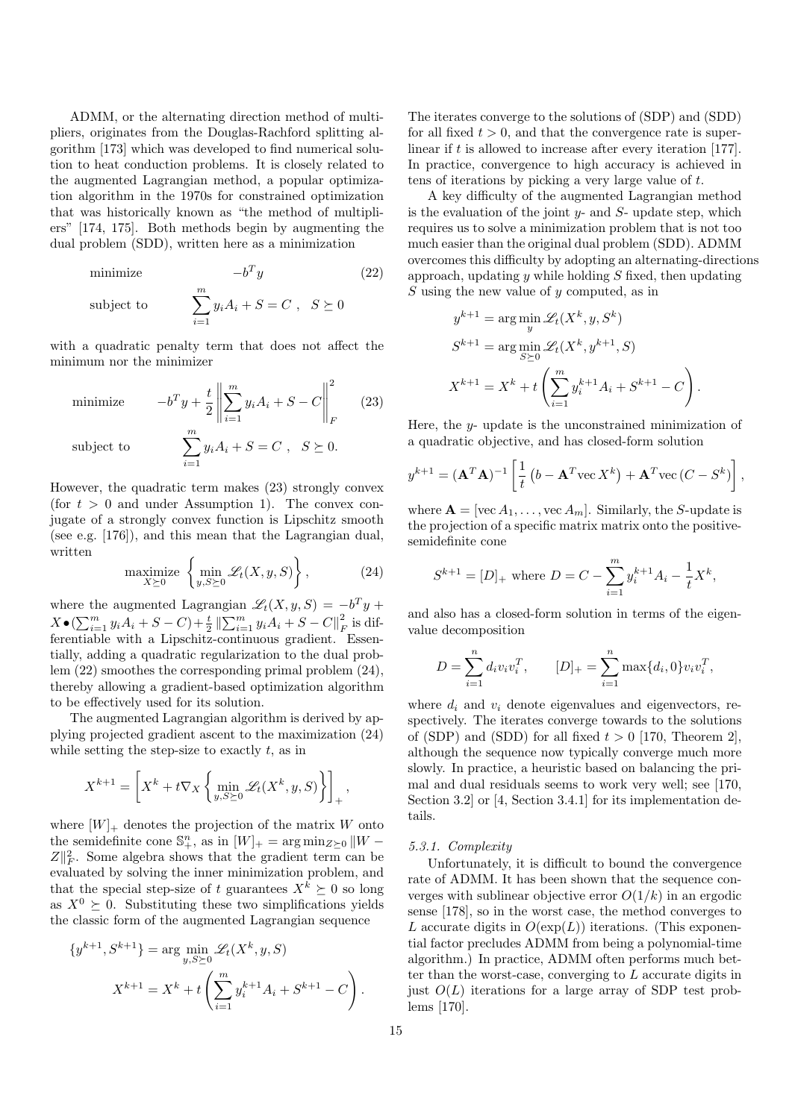ADMM, or the alternating direction method of multipliers, originates from the Douglas-Rachford splitting algorithm [\[173\]](#page-20-34) which was developed to find numerical solution to heat conduction problems. It is closely related to the augmented Lagrangian method, a popular optimization algorithm in the 1970s for constrained optimization that was historically known as "the method of multipliers" [\[174,](#page-20-35) [175\]](#page-20-36). Both methods begin by augmenting the dual problem [\(SDD\)](#page-11-3), written here as a minimization

minimize 
$$
-b^T y
$$
 (22)  
subject to 
$$
\sum_{i=1}^m y_i A_i + S = C, \quad S \succeq 0
$$

with a quadratic penalty term that does not affect the minimum nor the minimizer

minimize 
$$
-b^T y + \frac{t}{2} \left\| \sum_{i=1}^m y_i A_i + S - C \right\|_F^2
$$
 (23)  
subject to 
$$
\sum_{i=1}^m y_i A_i + S = C, \quad S \succeq 0.
$$

However, the quadratic term makes [\(23\)](#page-14-0) strongly convex (for  $t > 0$  and under Assumption [1\)](#page-12-4). The convex conjugate of a strongly convex function is Lipschitz smooth (see e.g. [\[176\]](#page-20-37)), and this mean that the Lagrangian dual, written

<span id="page-14-2"></span>
$$
\underset{X \succeq 0}{\text{maximize}} \left\{ \underset{y, S \succeq 0}{\text{min}} \mathcal{L}_t(X, y, S) \right\},\tag{24}
$$

where the augmented Lagrangian  $\mathscr{L}_t(X, y, S) = -b^T y +$  $X \bullet (\sum_{i=1}^{m} y_i A_i + S - C) + \frac{t}{2} \left\| \sum_{i=1}^{m} y_i A_i + S - C \right\|_F^2$  $\frac{2}{F}$  is differentiable with a Lipschitz-continuous gradient. Essentially, adding a quadratic regularization to the dual problem [\(22\)](#page-14-1) smoothes the corresponding primal problem [\(24\)](#page-14-2), thereby allowing a gradient-based optimization algorithm to be effectively used for its solution.

The augmented Lagrangian algorithm is derived by applying projected gradient ascent to the maximization [\(24\)](#page-14-2) while setting the step-size to exactly  $t$ , as in

$$
X^{k+1} = \left[ X^k + t \nabla_X \left\{ \min_{y, S \succeq 0} \mathcal{L}_t(X^k, y, S) \right\} \right]_+
$$

where  $[W]_+$  denotes the projection of the matrix W onto the semidefinite cone  $\mathbb{S}^n_+$ , as in  $[W]_+ = \arg \min_{Z \succeq 0} ||W \mathbb{Z}^2$ . Some algebra shows that the gradient term can be evaluated by solving the inner minimization problem, and that the special step-size of t guarantees  $X^k \succeq 0$  so long as  $X^0 \succeq 0$ . Substituting these two simplifications yields the classic form of the augmented Lagrangian sequence

$$
\{y^{k+1}, S^{k+1}\} = \arg\min_{y, S \succeq 0} \mathcal{L}_t(X^k, y, S)
$$

$$
X^{k+1} = X^k + t \left(\sum_{i=1}^m y_i^{k+1} A_i + S^{k+1} - C\right).
$$

The iterates converge to the solutions of [\(SDP\)](#page-11-2) and [\(SDD\)](#page-11-3) for all fixed  $t > 0$ , and that the convergence rate is superlinear if  $t$  is allowed to increase after every iteration [\[177\]](#page-20-38). In practice, convergence to high accuracy is achieved in tens of iterations by picking a very large value of t.

<span id="page-14-1"></span>A key difficulty of the augmented Lagrangian method is the evaluation of the joint  $y$ - and  $S$ - update step, which requires us to solve a minimization problem that is not too much easier than the original dual problem [\(SDD\)](#page-11-3). ADMM overcomes this difficulty by adopting an alternating-directions approach, updating  $y$  while holding  $S$  fixed, then updating S using the new value of  $y$  computed, as in

$$
y^{k+1} = \arg\min_{y} \mathcal{L}_t(X^k, y, S^k)
$$
  
\n
$$
S^{k+1} = \arg\min_{S \succeq 0} \mathcal{L}_t(X^k, y^{k+1}, S)
$$
  
\n
$$
X^{k+1} = X^k + t \left( \sum_{i=1}^m y_i^{k+1} A_i + S^{k+1} - C \right).
$$

<span id="page-14-0"></span>Here, the  $y$ - update is the unconstrained minimization of a quadratic objective, and has closed-form solution

$$
y^{k+1} = (\mathbf{A}^T \mathbf{A})^{-1} \left[ \frac{1}{t} \left( b - \mathbf{A}^T \text{vec} \, X^k \right) + \mathbf{A}^T \text{vec} \left( C - S^k \right) \right],
$$

where  $\mathbf{A} = [\text{vec} A_1, \dots, \text{vec} A_m]$ . Similarly, the *S*-update is the projection of a specific matrix matrix onto the positivesemidefinite cone

$$
S^{k+1} = [D]_+ \text{ where } D = C - \sum_{i=1}^m y_i^{k+1} A_i - \frac{1}{t} X^k,
$$

and also has a closed-form solution in terms of the eigenvalue decomposition

$$
D = \sum_{i=1}^{n} d_i v_i v_i^T, \qquad [D]_+ = \sum_{i=1}^{n} \max\{d_i, 0\} v_i v_i^T,
$$

where  $d_i$  and  $v_i$  denote eigenvalues and eigenvectors, respectively. The iterates converge towards to the solutions of [\(SDP\)](#page-11-2) and [\(SDD\)](#page-11-3) for all fixed  $t > 0$  [\[170,](#page-20-31) Theorem 2], although the sequence now typically converge much more slowly. In practice, a heuristic based on balancing the primal and dual residuals seems to work very well; see [\[170,](#page-20-31) Section 3.2] or [\[4,](#page-17-2) Section 3.4.1] for its implementation details.

#### 5.3.1. Complexity

Unfortunately, it is difficult to bound the convergence rate of ADMM. It has been shown that the sequence converges with sublinear objective error  $O(1/k)$  in an ergodic sense [\[178\]](#page-20-39), so in the worst case, the method converges to L accurate digits in  $O(\exp(L))$  iterations. (This exponential factor precludes ADMM from being a polynomial-time algorithm.) In practice, ADMM often performs much better than the worst-case, converging to L accurate digits in just  $O(L)$  iterations for a large array of SDP test problems [\[170\]](#page-20-31).

,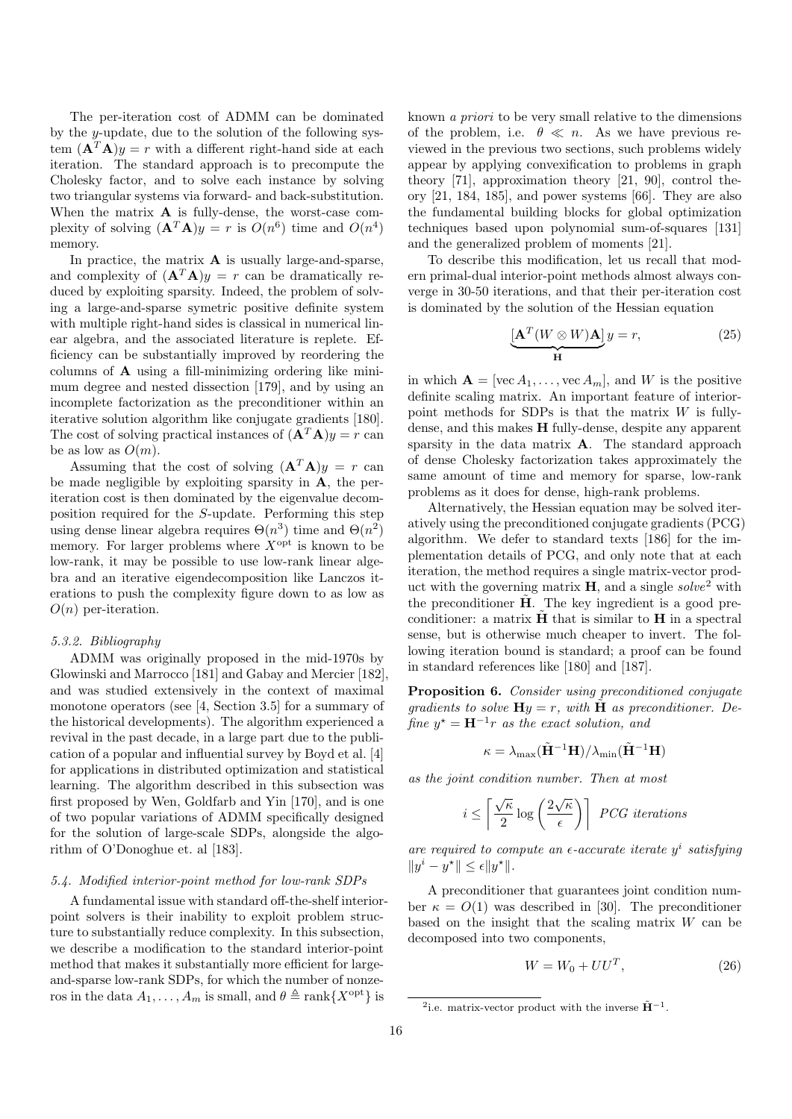The per-iteration cost of ADMM can be dominated by the y-update, due to the solution of the following system  $(\mathbf{A}^T \mathbf{A})y = r$  with a different right-hand side at each iteration. The standard approach is to precompute the Cholesky factor, and to solve each instance by solving two triangular systems via forward- and back-substitution. When the matrix  $\bf{A}$  is fully-dense, the worst-case complexity of solving  $(\mathbf{A}^T \mathbf{A})y = r$  is  $O(n^6)$  time and  $O(n^4)$ memory.

In practice, the matrix  $\bf{A}$  is usually large-and-sparse, and complexity of  $(\mathbf{A}^T \mathbf{A})y = r$  can be dramatically reduced by exploiting sparsity. Indeed, the problem of solving a large-and-sparse symetric positive definite system with multiple right-hand sides is classical in numerical linear algebra, and the associated literature is replete. Efficiency can be substantially improved by reordering the columns of A using a fill-minimizing ordering like minimum degree and nested dissection [\[179\]](#page-20-40), and by using an incomplete factorization as the preconditioner within an iterative solution algorithm like conjugate gradients [\[180\]](#page-20-41). The cost of solving practical instances of  $(\mathbf{A}^T \mathbf{A})y = r$  can be as low as  $O(m)$ .

Assuming that the cost of solving  $(\mathbf{A}^T \mathbf{A})y = r$  can be made negligible by exploiting sparsity in  $A$ , the periteration cost is then dominated by the eigenvalue decomposition required for the S-update. Performing this step using dense linear algebra requires  $\Theta(n^3)$  time and  $\Theta(n^2)$ memory. For larger problems where  $X^{\text{opt}}$  is known to be low-rank, it may be possible to use low-rank linear algebra and an iterative eigendecomposition like Lanczos iterations to push the complexity figure down to as low as  $O(n)$  per-iteration.

#### 5.3.2. Bibliography

ADMM was originally proposed in the mid-1970s by Glowinski and Marrocco [\[181\]](#page-20-42) and Gabay and Mercier [\[182\]](#page-20-43), and was studied extensively in the context of maximal monotone operators (see [\[4,](#page-17-2) Section 3.5] for a summary of the historical developments). The algorithm experienced a revival in the past decade, in a large part due to the publication of a popular and influential survey by Boyd et al. [\[4\]](#page-17-2) for applications in distributed optimization and statistical learning. The algorithm described in this subsection was first proposed by Wen, Goldfarb and Yin [\[170\]](#page-20-31), and is one of two popular variations of ADMM specifically designed for the solution of large-scale SDPs, alongside the algorithm of O'Donoghue et. al [\[183\]](#page-20-44).

### <span id="page-15-0"></span>5.4. Modified interior-point method for low-rank SDPs

A fundamental issue with standard off-the-shelf interiorpoint solvers is their inability to exploit problem structure to substantially reduce complexity. In this subsection, we describe a modification to the standard interior-point method that makes it substantially more efficient for largeand-sparse low-rank SDPs, for which the number of nonzeros in the data  $A_1, \ldots, A_m$  is small, and  $\theta \triangleq \text{rank}\{X^{\text{opt}}\}$  is

known a priori to be very small relative to the dimensions of the problem, i.e.  $\theta \ll n$ . As we have previous reviewed in the previous two sections, such problems widely appear by applying convexification to problems in graph theory [\[71\]](#page-18-25), approximation theory [\[21,](#page-17-16) [90\]](#page-19-0), control theory [\[21,](#page-17-16) [184,](#page-20-45) [185\]](#page-20-46), and power systems [\[66\]](#page-18-22). They are also the fundamental building blocks for global optimization techniques based upon polynomial sum-of-squares [\[131\]](#page-19-38) and the generalized problem of moments [\[21\]](#page-17-16).

To describe this modification, let us recall that modern primal-dual interior-point methods almost always converge in 30-50 iterations, and that their per-iteration cost is dominated by the solution of the Hessian equation

<span id="page-15-3"></span>
$$
\underbrace{[\mathbf{A}^T(W \otimes W)\mathbf{A}]}_{\mathbf{H}} y = r,\tag{25}
$$

in which  $\mathbf{A} = [\text{vec} A_1, \dots, \text{vec} A_m]$ , and W is the positive definite scaling matrix. An important feature of interiorpoint methods for SDPs is that the matrix  $W$  is fullydense, and this makes H fully-dense, despite any apparent sparsity in the data matrix A. The standard approach of dense Cholesky factorization takes approximately the same amount of time and memory for sparse, low-rank problems as it does for dense, high-rank problems.

Alternatively, the Hessian equation may be solved iteratively using the preconditioned conjugate gradients (PCG) algorithm. We defer to standard texts [\[186\]](#page-20-47) for the implementation details of PCG, and only note that at each iteration, the method requires a single matrix-vector product with the governing matrix  $H$ , and a single solve<sup>[2](#page-15-1)</sup> with the preconditioner  $\tilde{H}$ . The key ingredient is a good preconditioner: a matrix  $\tilde{H}$  that is similar to  $H$  in a spectral sense, but is otherwise much cheaper to invert. The following iteration bound is standard; a proof can be found in standard references like [\[180\]](#page-20-41) and [\[187\]](#page-20-48).

<span id="page-15-4"></span>Proposition 6. Consider using preconditioned conjugate gradients to solve  $\mathbf{H}y = r$ , with  $\tilde{\mathbf{H}}$  as preconditioner. Define  $y^* = H^{-1}r$  as the exact solution, and

$$
\kappa = \lambda_{\max}(\tilde{\mathbf{H}}^{-1}\mathbf{H})/\lambda_{\min}(\tilde{\mathbf{H}}^{-1}\mathbf{H})
$$

as the joint condition number. Then at most

$$
i \le \left\lceil \frac{\sqrt{\kappa}}{2} \log \left( \frac{2\sqrt{\kappa}}{\epsilon} \right) \right\rceil \ PCG \ iterations
$$

are required to compute an  $\epsilon$ -accurate iterate  $y^i$  satisfying  $||y^i - y^{\star}|| \leq \epsilon ||y^{\star}||.$ 

A preconditioner that guarantees joint condition number  $\kappa = O(1)$  was described in [\[30\]](#page-17-31). The preconditioner based on the insight that the scaling matrix  $W$  can be decomposed into two components,

<span id="page-15-2"></span>
$$
W = W_0 + UU^T,\t\t(26)
$$

<span id="page-15-1"></span><sup>&</sup>lt;sup>2</sup>i.e. matrix-vector product with the inverse  $\tilde{H}^{-1}$ .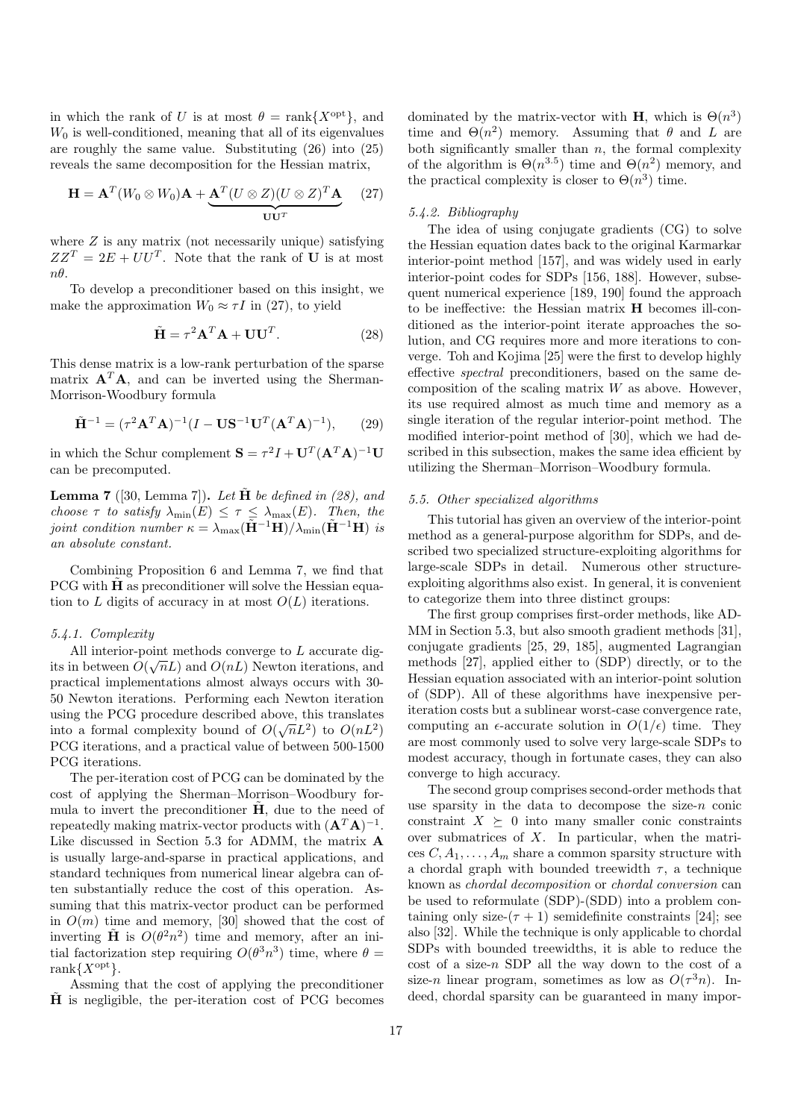in which the rank of U is at most  $\theta = \text{rank}\{X^{\text{opt}}\},\$  and  $W_0$  is well-conditioned, meaning that all of its eigenvalues are roughly the same value. Substituting [\(26\)](#page-15-2) into [\(25\)](#page-15-3) reveals the same decomposition for the Hessian matrix,

<span id="page-16-1"></span>
$$
\mathbf{H} = \mathbf{A}^T (W_0 \otimes W_0) \mathbf{A} + \underbrace{\mathbf{A}^T (U \otimes Z) (U \otimes Z)^T \mathbf{A}}_{\mathbf{U} \mathbf{U}^T}
$$
 (27)

where  $Z$  is any matrix (not necessarily unique) satisfying  $ZZ^T = 2E + UU^T$ . Note that the rank of **U** is at most  $n\theta$ .

To develop a preconditioner based on this insight, we make the approximation  $W_0 \approx \tau I$  in [\(27\)](#page-16-1), to yield

<span id="page-16-2"></span>
$$
\tilde{\mathbf{H}} = \tau^2 \mathbf{A}^T \mathbf{A} + \mathbf{U} \mathbf{U}^T.
$$
 (28)

This dense matrix is a low-rank perturbation of the sparse matrix  $\mathbf{A}^T \mathbf{A}$ , and can be inverted using the Sherman-Morrison-Woodbury formula

$$
\tilde{\mathbf{H}}^{-1} = (\tau^2 \mathbf{A}^T \mathbf{A})^{-1} (I - \mathbf{U} \mathbf{S}^{-1} \mathbf{U}^T (\mathbf{A}^T \mathbf{A})^{-1}), \qquad (29)
$$

in which the Schur complement  $S = \tau^2 I + U^T (A^T A)^{-1} U$ can be precomputed.

<span id="page-16-3"></span>**Lemma 7** ([\[30,](#page-17-31) Lemma 7]). Let  $\hat{H}$  be defined in [\(28\)](#page-16-2), and choose  $\tau$  to satisfy  $\lambda_{\min}(E) \leq \tau \leq \lambda_{\max}(E)$ . Then, the joint condition number  $\kappa = \lambda_{\max}(\tilde{\mathbf{H}}^{-1}\mathbf{H})/\lambda_{\min}(\tilde{\mathbf{H}}^{-1}\mathbf{H})$  is an absolute constant.

Combining Proposition [6](#page-15-4) and Lemma [7,](#page-16-3) we find that PCG with  $\tilde{H}$  as preconditioner will solve the Hessian equation to  $L$  digits of accuracy in at most  $O(L)$  iterations.

### 5.4.1. Complexity

All interior-point methods converge to L accurate digits in between  $O(\sqrt{n}L)$  and  $O(nL)$  Newton iterations, and practical implementations almost always occurs with 30- 50 Newton iterations. Performing each Newton iteration using the PCG procedure described above, this translates into a formal complexity bound of  $O(\sqrt{n}L^2)$  to  $O(nL^2)$ PCG iterations, and a practical value of between 500-1500 PCG iterations.

The per-iteration cost of PCG can be dominated by the cost of applying the Sherman–Morrison–Woodbury formula to invert the preconditioner  $\tilde{H}$ , due to the need of repeatedly making matrix-vector products with  $(\mathbf{A}^T \mathbf{A})^{-1}$ . Like discussed in Section [5.3](#page-13-0) for ADMM, the matrix A is usually large-and-sparse in practical applications, and standard techniques from numerical linear algebra can often substantially reduce the cost of this operation. Assuming that this matrix-vector product can be performed in  $O(m)$  time and memory, [\[30\]](#page-17-31) showed that the cost of inverting  $\tilde{H}$  is  $O(\theta^2 n^2)$  time and memory, after an initial factorization step requiring  $O(\theta^3 n^3)$  time, where  $\theta =$ rank $\{X^{\text{opt}}\}.$ 

Assming that the cost of applying the preconditioner  $\hat{H}$  is negligible, the per-iteration cost of PCG becomes

dominated by the matrix-vector with H, which is  $\Theta(n^3)$ time and  $\Theta(n^2)$  memory. Assuming that  $\theta$  and L are both significantly smaller than  $n$ , the formal complexity of the algorithm is  $\Theta(n^{3.5})$  time and  $\Theta(n^2)$  memory, and the practical complexity is closer to  $\Theta(n^3)$  time.

### 5.4.2. Bibliography

The idea of using conjugate gradients (CG) to solve the Hessian equation dates back to the original Karmarkar interior-point method [\[157\]](#page-20-18), and was widely used in early interior-point codes for SDPs [\[156,](#page-20-17) [188\]](#page-21-0). However, subsequent numerical experience [\[189,](#page-21-1) [190\]](#page-21-2) found the approach to be ineffective: the Hessian matrix H becomes ill-conditioned as the interior-point iterate approaches the solution, and CG requires more and more iterations to converge. Toh and Kojima [\[25\]](#page-17-32) were the first to develop highly effective spectral preconditioners, based on the same decomposition of the scaling matrix  $W$  as above. However, its use required almost as much time and memory as a single iteration of the regular interior-point method. The modified interior-point method of [\[30\]](#page-17-31), which we had described in this subsection, makes the same idea efficient by utilizing the Sherman–Morrison–Woodbury formula.

#### <span id="page-16-0"></span>5.5. Other specialized algorithms

This tutorial has given an overview of the interior-point method as a general-purpose algorithm for SDPs, and described two specialized structure-exploiting algorithms for large-scale SDPs in detail. Numerous other structureexploiting algorithms also exist. In general, it is convenient to categorize them into three distinct groups:

The first group comprises first-order methods, like AD-MM in Section [5.3,](#page-13-0) but also smooth gradient methods [\[31\]](#page-17-33), conjugate gradients [\[25,](#page-17-32) [29,](#page-17-34) [185\]](#page-20-46), augmented Lagrangian methods [\[27\]](#page-17-35), applied either to [\(SDP\)](#page-11-2) directly, or to the Hessian equation associated with an interior-point solution of [\(SDP\)](#page-11-2). All of these algorithms have inexpensive periteration costs but a sublinear worst-case convergence rate, computing an  $\epsilon$ -accurate solution in  $O(1/\epsilon)$  time. They are most commonly used to solve very large-scale SDPs to modest accuracy, though in fortunate cases, they can also converge to high accuracy.

The second group comprises second-order methods that use sparsity in the data to decompose the size- $n$  conic constraint  $X \succeq 0$  into many smaller conic constraints over submatrices of X. In particular, when the matrices  $C, A_1, \ldots, A_m$  share a common sparsity structure with a chordal graph with bounded treewidth  $\tau$ , a technique known as chordal decomposition or chordal conversion can be used to reformulate [\(SDP\)](#page-11-2)-[\(SDD\)](#page-11-3) into a problem containing only size- $(\tau + 1)$  semidefinite constraints [\[24\]](#page-17-19); see also [\[32\]](#page-17-20). While the technique is only applicable to chordal SDPs with bounded treewidths, it is able to reduce the cost of a size- $n$  SDP all the way down to the cost of a size-n linear program, sometimes as low as  $O(\tau^3 n)$ . Indeed, chordal sparsity can be guaranteed in many impor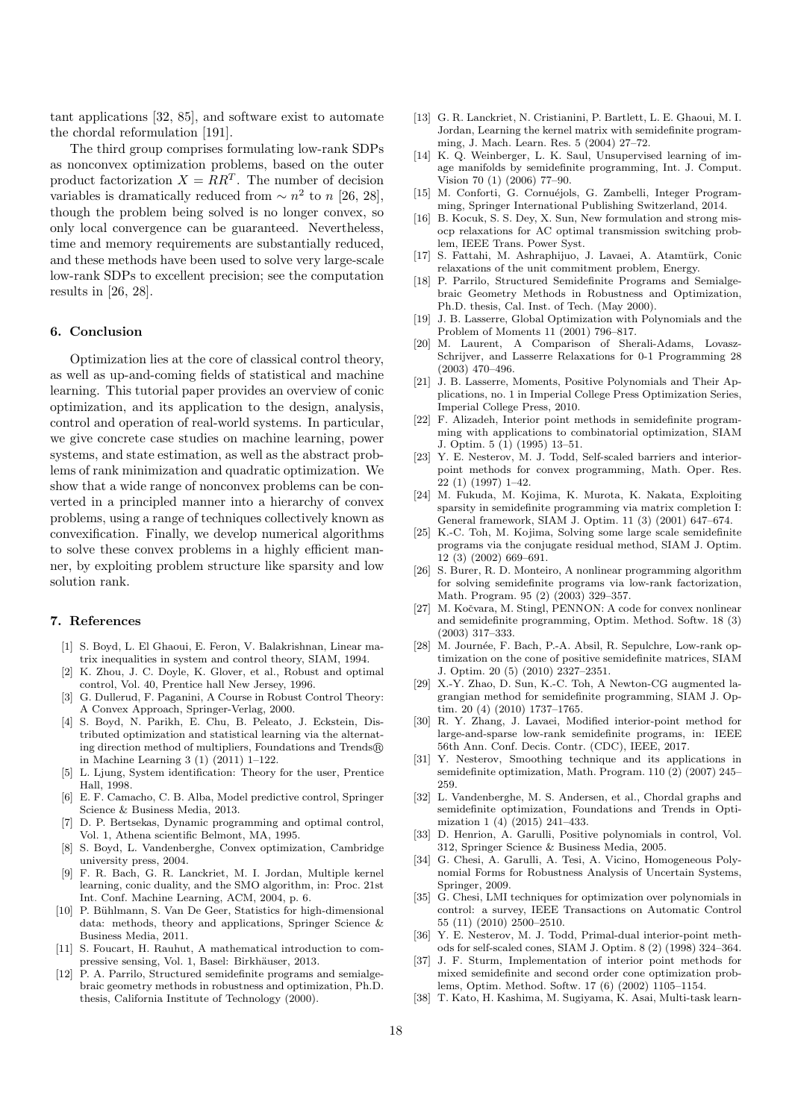tant applications [\[32,](#page-17-20) [85\]](#page-18-37), and software exist to automate the chordal reformulation [\[191\]](#page-21-3).

The third group comprises formulating low-rank SDPs as nonconvex optimization problems, based on the outer product factorization  $X = RR^T$ . The number of decision variables is dramatically reduced from  $\sim n^2$  to n [\[26,](#page-17-36) [28\]](#page-17-37), though the problem being solved is no longer convex, so only local convergence can be guaranteed. Nevertheless, time and memory requirements are substantially reduced, and these methods have been used to solve very large-scale low-rank SDPs to excellent precision; see the computation results in [\[26,](#page-17-36) [28\]](#page-17-37).

### <span id="page-17-21"></span>6. Conclusion

Optimization lies at the core of classical control theory, as well as up-and-coming fields of statistical and machine learning. This tutorial paper provides an overview of conic optimization, and its application to the design, analysis, control and operation of real-world systems. In particular, we give concrete case studies on machine learning, power systems, and state estimation, as well as the abstract problems of rank minimization and quadratic optimization. We show that a wide range of nonconvex problems can be converted in a principled manner into a hierarchy of convex problems, using a range of techniques collectively known as convexification. Finally, we develop numerical algorithms to solve these convex problems in a highly efficient manner, by exploiting problem structure like sparsity and low solution rank.

### 7. References

- <span id="page-17-0"></span>[1] S. Boyd, L. El Ghaoui, E. Feron, V. Balakrishnan, Linear matrix inequalities in system and control theory, SIAM, 1994.
- <span id="page-17-9"></span>[2] K. Zhou, J. C. Doyle, K. Glover, et al., Robust and optimal control, Vol. 40, Prentice hall New Jersey, 1996.
- <span id="page-17-1"></span>[3] G. Dullerud, F. Paganini, A Course in Robust Control Theory: A Convex Approach, Springer-Verlag, 2000.
- <span id="page-17-2"></span>[4] S. Boyd, N. Parikh, E. Chu, B. Peleato, J. Eckstein, Distributed optimization and statistical learning via the alternating direction method of multipliers, Foundations and Trends R in Machine Learning 3 (1) (2011) 1–122.
- <span id="page-17-3"></span>[5] L. Ljung, System identification: Theory for the user, Prentice Hall, 1998.
- <span id="page-17-4"></span>[6] E. F. Camacho, C. B. Alba, Model predictive control, Springer Science & Business Media, 2013.
- <span id="page-17-5"></span>[7] D. P. Bertsekas, Dynamic programming and optimal control, Vol. 1, Athena scientific Belmont, MA, 1995.
- <span id="page-17-6"></span>[8] S. Boyd, L. Vandenberghe, Convex optimization, Cambridge university press, 2004.
- <span id="page-17-7"></span>[9] F. R. Bach, G. R. Lanckriet, M. I. Jordan, Multiple kernel learning, conic duality, and the SMO algorithm, in: Proc. 21st Int. Conf. Machine Learning, ACM, 2004, p. 6.
- <span id="page-17-27"></span>[10] P. Bühlmann, S. Van De Geer, Statistics for high-dimensional data: methods, theory and applications, Springer Science & Business Media, 2011.
- <span id="page-17-8"></span>[11] S. Foucart, H. Rauhut, A mathematical introduction to compressive sensing, Vol. 1, Basel: Birkhäuser, 2013.
- <span id="page-17-10"></span>[12] P. A. Parrilo, Structured semidefinite programs and semialgebraic geometry methods in robustness and optimization, Ph.D. thesis, California Institute of Technology (2000).
- <span id="page-17-11"></span>[13] G. R. Lanckriet, N. Cristianini, P. Bartlett, L. E. Ghaoui, M. I. Jordan, Learning the kernel matrix with semidefinite programming, J. Mach. Learn. Res. 5 (2004) 27–72.
- <span id="page-17-12"></span>[14] K. Q. Weinberger, L. K. Saul, Unsupervised learning of image manifolds by semidefinite programming, Int. J. Comput. Vision 70 (1) (2006) 77–90.
- <span id="page-17-13"></span>[15] M. Conforti, G. Cornuéjols, G. Zambelli, Integer Programming, Springer International Publishing Switzerland, 2014.
- <span id="page-17-28"></span>[16] B. Kocuk, S. S. Dey, X. Sun, New formulation and strong misocp relaxations for AC optimal transmission switching problem, IEEE Trans. Power Syst.
- <span id="page-17-14"></span>[17] S. Fattahi, M. Ashraphijuo, J. Lavaei, A. Atamtürk, Conic relaxations of the unit commitment problem, Energy.
- <span id="page-17-15"></span>[18] P. Parrilo, Structured Semidefinite Programs and Semialgebraic Geometry Methods in Robustness and Optimization, Ph.D. thesis, Cal. Inst. of Tech. (May 2000).
- <span id="page-17-30"></span>[19] J. B. Lasserre, Global Optimization with Polynomials and the Problem of Moments 11 (2001) 796–817.
- <span id="page-17-29"></span>[20] M. Laurent, A Comparison of Sherali-Adams, Lovasz-Schrijver, and Lasserre Relaxations for 0-1 Programming 28 (2003) 470–496.
- <span id="page-17-16"></span>[21] J. B. Lasserre, Moments, Positive Polynomials and Their Applications, no. 1 in Imperial College Press Optimization Series, Imperial College Press, 2010.
- <span id="page-17-17"></span>[22] F. Alizadeh, Interior point methods in semidefinite programming with applications to combinatorial optimization, SIAM J. Optim. 5 (1) (1995) 13–51.
- <span id="page-17-18"></span>[23] Y. E. Nesterov, M. J. Todd, Self-scaled barriers and interiorpoint methods for convex programming, Math. Oper. Res. 22 (1) (1997) 1–42.
- <span id="page-17-19"></span>[24] M. Fukuda, M. Kojima, K. Murota, K. Nakata, Exploiting sparsity in semidefinite programming via matrix completion I: General framework, SIAM J. Optim. 11 (3) (2001) 647–674.
- <span id="page-17-32"></span>[25] K.-C. Toh, M. Kojima, Solving some large scale semidefinite programs via the conjugate residual method, SIAM J. Optim. 12 (3) (2002) 669–691.
- <span id="page-17-36"></span>[26] S. Burer, R. D. Monteiro, A nonlinear programming algorithm for solving semidefinite programs via low-rank factorization, Math. Program. 95 (2) (2003) 329–357.
- <span id="page-17-35"></span>[27] M. Kočvara, M. Stingl, PENNON: A code for convex nonlinear and semidefinite programming, Optim. Method. Softw. 18 (3) (2003) 317–333.
- <span id="page-17-37"></span>[28] M. Journée, F. Bach, P.-A. Absil, R. Sepulchre, Low-rank optimization on the cone of positive semidefinite matrices, SIAM J. Optim. 20 (5) (2010) 2327–2351.
- <span id="page-17-34"></span>[29] X.-Y. Zhao, D. Sun, K.-C. Toh, A Newton-CG augmented lagrangian method for semidefinite programming, SIAM J. Optim. 20 (4) (2010) 1737–1765.
- <span id="page-17-31"></span>[30] R. Y. Zhang, J. Lavaei, Modified interior-point method for large-and-sparse low-rank semidefinite programs, in: IEEE 56th Ann. Conf. Decis. Contr. (CDC), IEEE, 2017.
- <span id="page-17-33"></span>[31] Y. Nesterov, Smoothing technique and its applications in semidefinite optimization, Math. Program. 110 (2) (2007) 245– 259.
- <span id="page-17-20"></span>[32] L. Vandenberghe, M. S. Andersen, et al., Chordal graphs and semidefinite optimization, Foundations and Trends in Optimization 1 (4) (2015) 241–433.
- <span id="page-17-22"></span>[33] D. Henrion, A. Garulli, Positive polynomials in control, Vol. 312, Springer Science & Business Media, 2005.
- [34] G. Chesi, A. Garulli, A. Tesi, A. Vicino, Homogeneous Polynomial Forms for Robustness Analysis of Uncertain Systems, Springer, 2009.
- <span id="page-17-23"></span>[35] G. Chesi, LMI techniques for optimization over polynomials in control: a survey, IEEE Transactions on Automatic Control 55 (11) (2010) 2500–2510.
- <span id="page-17-24"></span>[36] Y. E. Nesterov, M. J. Todd, Primal-dual interior-point methods for self-scaled cones, SIAM J. Optim. 8 (2) (1998) 324–364.
- <span id="page-17-25"></span>[37] J. F. Sturm, Implementation of interior point methods for mixed semidefinite and second order cone optimization problems, Optim. Method. Softw. 17 (6) (2002) 1105–1154.
- <span id="page-17-26"></span>[38] T. Kato, H. Kashima, M. Sugiyama, K. Asai, Multi-task learn-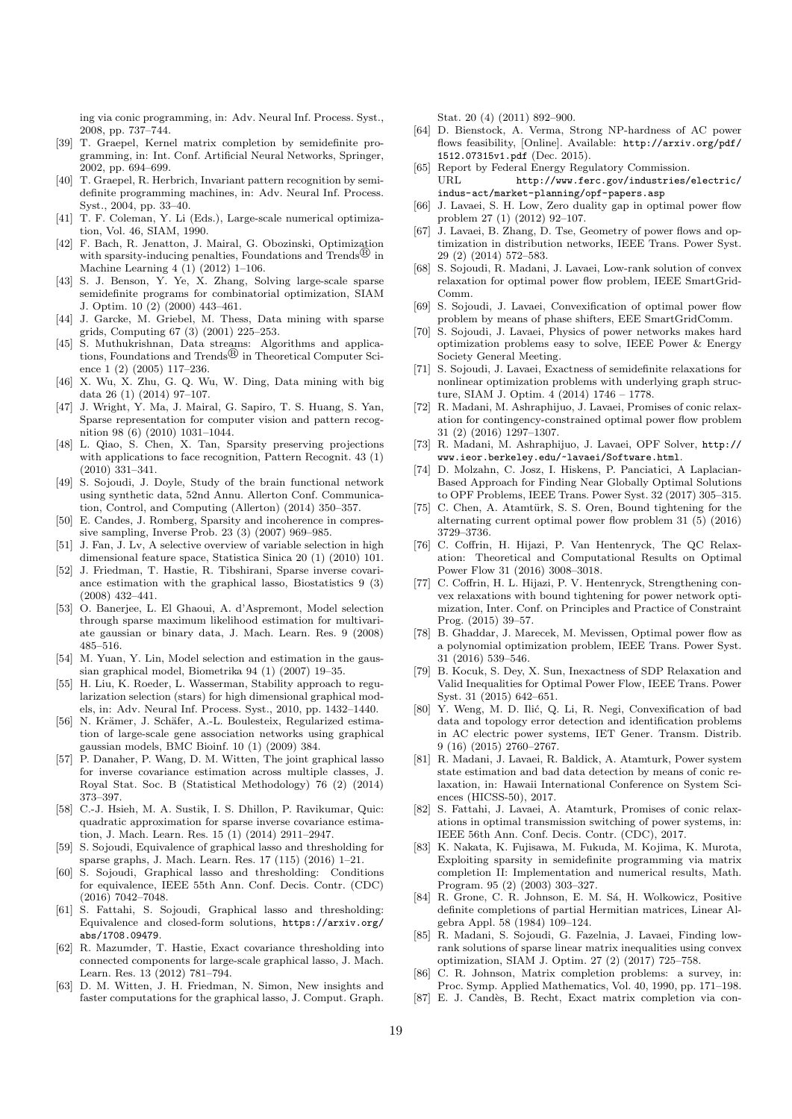ing via conic programming, in: Adv. Neural Inf. Process. Syst., 2008, pp. 737–744.

- [39] T. Graepel, Kernel matrix completion by semidefinite programming, in: Int. Conf. Artificial Neural Networks, Springer, 2002, pp. 694–699.
- <span id="page-18-0"></span>[40] T. Graepel, R. Herbrich, Invariant pattern recognition by semidefinite programming machines, in: Adv. Neural Inf. Process. Syst., 2004, pp. 33–40.
- <span id="page-18-1"></span>[41] T. F. Coleman, Y. Li (Eds.), Large-scale numerical optimization, Vol. 46, SIAM, 1990.
- [42] F. Bach, R. Jenatton, J. Mairal, G. Obozinski, Optimization with sparsity-inducing penalties, Foundations and Trends<sup> $\circledR$ </sup> in Machine Learning 4 (1) (2012) 1–106.
- <span id="page-18-2"></span>[43] S. J. Benson, Y. Ye, X. Zhang, Solving large-scale sparse semidefinite programs for combinatorial optimization, SIAM J. Optim. 10 (2) (2000) 443–461.
- <span id="page-18-3"></span>[44] J. Garcke, M. Griebel, M. Thess, Data mining with sparse grids, Computing 67 (3) (2001) 225–253.
- [45] S. Muthukrishnan, Data streams: Algorithms and applica- $\frac{1}{\sqrt{2}}$  tions, Foundations and Trends<sup> $\overline{\textcircled{B}}$ </sup> in Theoretical Computer Science 1 (2) (2005) 117–236.
- <span id="page-18-4"></span>[46] X. Wu, X. Zhu, G. Q. Wu, W. Ding, Data mining with big data 26 (1) (2014) 97–107.
- <span id="page-18-5"></span>[47] J. Wright, Y. Ma, J. Mairal, G. Sapiro, T. S. Huang, S. Yan, Sparse representation for computer vision and pattern recognition 98 (6) (2010) 1031–1044.
- <span id="page-18-6"></span>[48] L. Qiao, S. Chen, X. Tan, Sparsity preserving projections with applications to face recognition, Pattern Recognit. 43 (1) (2010) 331–341.
- <span id="page-18-7"></span>[49] S. Sojoudi, J. Doyle, Study of the brain functional network using synthetic data, 52nd Annu. Allerton Conf. Communication, Control, and Computing (Allerton) (2014) 350–357.
- <span id="page-18-8"></span>[50] E. Candes, J. Romberg, Sparsity and incoherence in compressive sampling, Inverse Prob. 23 (3) (2007) 969–985.
- <span id="page-18-9"></span>[51] J. Fan, J. Lv, A selective overview of variable selection in high dimensional feature space, Statistica Sinica 20 (1) (2010) 101.
- <span id="page-18-10"></span>[52] J. Friedman, T. Hastie, R. Tibshirani, Sparse inverse covariance estimation with the graphical lasso, Biostatistics 9 (3) (2008) 432–441.
- <span id="page-18-13"></span>[53] O. Banerjee, L. El Ghaoui, A. d'Aspremont, Model selection through sparse maximum likelihood estimation for multivariate gaussian or binary data, J. Mach. Learn. Res. 9 (2008) 485–516.
- <span id="page-18-11"></span>[54] M. Yuan, Y. Lin, Model selection and estimation in the gaussian graphical model, Biometrika 94 (1) (2007) 19–35.
- [55] H. Liu, K. Roeder, L. Wasserman, Stability approach to regularization selection (stars) for high dimensional graphical models, in: Adv. Neural Inf. Process. Syst., 2010, pp. 1432–1440.
- [56] N. Krämer, J. Schäfer, A.-L. Boulesteix, Regularized estimation of large-scale gene association networks using graphical gaussian models, BMC Bioinf. 10 (1) (2009) 384.
- <span id="page-18-12"></span>[57] P. Danaher, P. Wang, D. M. Witten, The joint graphical lasso for inverse covariance estimation across multiple classes, J. Royal Stat. Soc. B (Statistical Methodology) 76 (2) (2014) 373–397.
- <span id="page-18-14"></span>[58] C.-J. Hsieh, M. A. Sustik, I. S. Dhillon, P. Ravikumar, Quic: quadratic approximation for sparse inverse covariance estimation, J. Mach. Learn. Res. 15 (1) (2014) 2911–2947.
- <span id="page-18-15"></span>[59] S. Sojoudi, Equivalence of graphical lasso and thresholding for sparse graphs, J. Mach. Learn. Res. 17 (115) (2016) 1–21.
- <span id="page-18-16"></span>[60] S. Sojoudi, Graphical lasso and thresholding: Conditions for equivalence, IEEE 55th Ann. Conf. Decis. Contr. (CDC) (2016) 7042–7048.
- <span id="page-18-17"></span>[61] S. Fattahi, S. Sojoudi, Graphical lasso and thresholding: Equivalence and closed-form solutions, [https://arxiv.org/](https://arxiv.org/abs/1708.09479) [abs/1708.09479](https://arxiv.org/abs/1708.09479).
- <span id="page-18-18"></span>[62] R. Mazumder, T. Hastie, Exact covariance thresholding into connected components for large-scale graphical lasso, J. Mach. Learn. Res. 13 (2012) 781–794.
- <span id="page-18-19"></span>[63] D. M. Witten, J. H. Friedman, N. Simon, New insights and faster computations for the graphical lasso, J. Comput. Graph.

Stat. 20 (4) (2011) 892–900.

- <span id="page-18-20"></span>[64] D. Bienstock, A. Verma, Strong NP-hardness of AC power flows feasibility, [Online]. Available: [http://arxiv.org/pdf/](http://arxiv.org/pdf/1512.07315v1.pdf) [1512.07315v1.pdf](http://arxiv.org/pdf/1512.07315v1.pdf) (Dec. 2015).
- <span id="page-18-21"></span>[65] [Report by Federal Energy Regulatory Commission.](http://www.ferc.gov/industries/electric/indus-act/market-planning/opf-papers.asp) URL [http://www.ferc.gov/industries/electric/](http://www.ferc.gov/industries/electric/indus-act/market-planning/opf-papers.asp) [indus-act/market-planning/opf-papers.asp](http://www.ferc.gov/industries/electric/indus-act/market-planning/opf-papers.asp)
- <span id="page-18-22"></span>[66] J. Lavaei, S. H. Low, Zero duality gap in optimal power flow problem 27 (1) (2012) 92–107.
- [67] J. Lavaei, B. Zhang, D. Tse, Geometry of power flows and optimization in distribution networks, IEEE Trans. Power Syst. 29 (2) (2014) 572–583.
- <span id="page-18-27"></span>[68] S. Sojoudi, R. Madani, J. Lavaei, Low-rank solution of convex relaxation for optimal power flow problem, IEEE SmartGrid-Comm.
- <span id="page-18-23"></span>[69] S. Sojoudi, J. Lavaei, Convexification of optimal power flow problem by means of phase shifters, EEE SmartGridComm.
- <span id="page-18-24"></span>[70] S. Sojoudi, J. Lavaei, Physics of power networks makes hard optimization problems easy to solve, IEEE Power & Energy Society General Meeting.
- <span id="page-18-25"></span>[71] S. Sojoudi, J. Lavaei, Exactness of semidefinite relaxations for nonlinear optimization problems with underlying graph structure, SIAM J. Optim. 4 (2014) 1746 – 1778.
- <span id="page-18-26"></span>[72] R. Madani, M. Ashraphijuo, J. Lavaei, Promises of conic relaxation for contingency-constrained optimal power flow problem 31 (2) (2016) 1297–1307.
- <span id="page-18-28"></span>[73] R. Madani, M. Ashraphijuo, J. Lavaei, OPF Solver, [http://](http://www.ieor.berkeley.edu/~lavaei/Software.html) [www.ieor.berkeley.edu/~lavaei/Software.html](http://www.ieor.berkeley.edu/~lavaei/Software.html).
- <span id="page-18-29"></span>[74] D. Molzahn, C. Josz, I. Hiskens, P. Panciatici, A Laplacian-Based Approach for Finding Near Globally Optimal Solutions to OPF Problems, IEEE Trans. Power Syst. 32 (2017) 305–315.
- <span id="page-18-30"></span>[75] C. Chen, A. Atamtürk, S. S. Oren, Bound tightening for the alternating current optimal power flow problem 31 (5) (2016) 3729–3736.
- [76] C. Coffrin, H. Hijazi, P. Van Hentenryck, The QC Relaxation: Theoretical and Computational Results on Optimal Power Flow 31 (2016) 3008–3018.
- [77] C. Coffrin, H. L. Hijazi, P. V. Hentenryck, Strengthening convex relaxations with bound tightening for power network optimization, Inter. Conf. on Principles and Practice of Constraint Prog. (2015) 39–57.
- [78] B. Ghaddar, J. Marecek, M. Mevissen, Optimal power flow as a polynomial optimization problem, IEEE Trans. Power Syst. 31 (2016) 539–546.
- <span id="page-18-31"></span>[79] B. Kocuk, S. Dey, X. Sun, Inexactness of SDP Relaxation and Valid Inequalities for Optimal Power Flow, IEEE Trans. Power Syst. 31 (2015) 642–651.
- <span id="page-18-32"></span>[80] Y. Weng, M. D. Ilić, Q. Li, R. Negi, Convexification of bad data and topology error detection and identification problems in AC electric power systems, IET Gener. Transm. Distrib. 9 (16) (2015) 2760–2767.
- <span id="page-18-33"></span>[81] R. Madani, J. Lavaei, R. Baldick, A. Atamturk, Power system state estimation and bad data detection by means of conic relaxation, in: Hawaii International Conference on System Sciences (HICSS-50), 2017.
- <span id="page-18-34"></span>[82] S. Fattahi, J. Lavaei, A. Atamturk, Promises of conic relaxations in optimal transmission switching of power systems, in: IEEE 56th Ann. Conf. Decis. Contr. (CDC), 2017.
- <span id="page-18-35"></span>[83] K. Nakata, K. Fujisawa, M. Fukuda, M. Kojima, K. Murota, Exploiting sparsity in semidefinite programming via matrix completion II: Implementation and numerical results, Math. Program. 95 (2) (2003) 303–327.
- <span id="page-18-36"></span>[84] R. Grone, C. R. Johnson, E. M. Sá, H. Wolkowicz, Positive definite completions of partial Hermitian matrices, Linear Algebra Appl. 58 (1984) 109–124.
- <span id="page-18-37"></span>[85] R. Madani, S. Sojoudi, G. Fazelnia, J. Lavaei, Finding lowrank solutions of sparse linear matrix inequalities using convex optimization, SIAM J. Optim. 27 (2) (2017) 725–758.
- <span id="page-18-38"></span>C. R. Johnson, Matrix completion problems: a survey, in: Proc. Symp. Applied Mathematics, Vol. 40, 1990, pp. 171–198.
- [87] E. J. Candès, B. Recht, Exact matrix completion via con-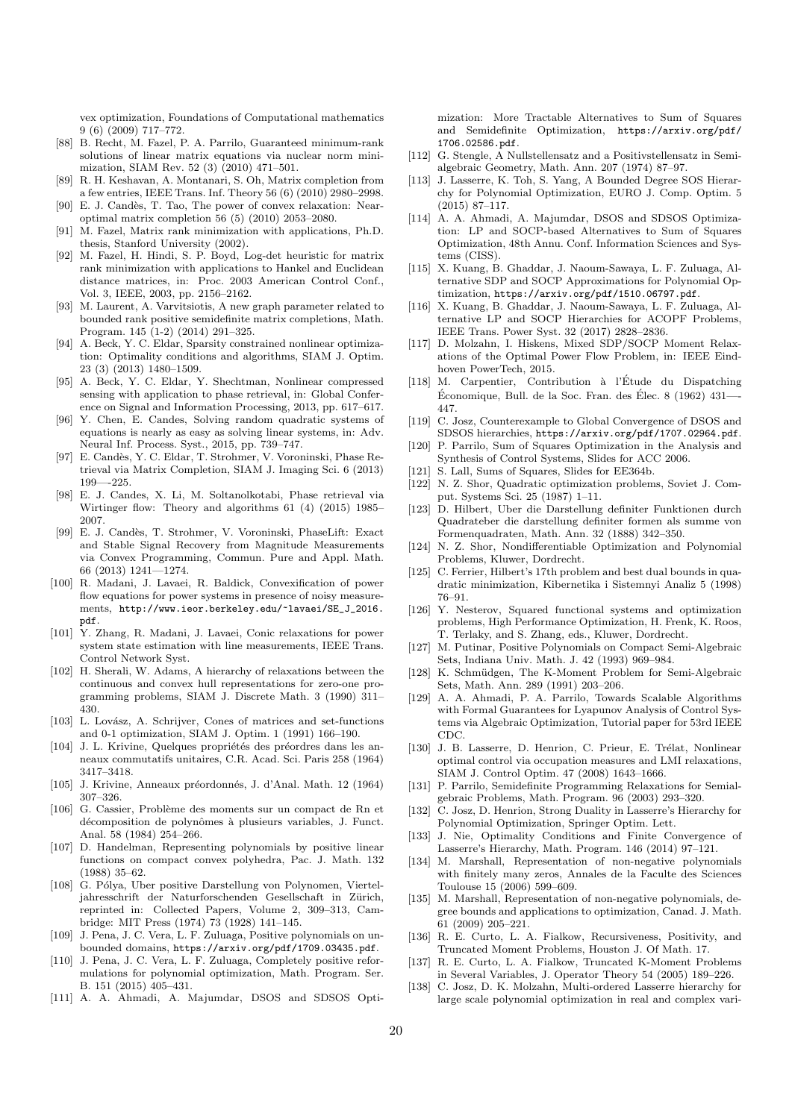vex optimization, Foundations of Computational mathematics 9 (6) (2009) 717–772.

- <span id="page-19-1"></span>[88] B. Recht, M. Fazel, P. A. Parrilo, Guaranteed minimum-rank solutions of linear matrix equations via nuclear norm minimization, SIAM Rev. 52 (3) (2010) 471–501.
- [89] R. H. Keshavan, A. Montanari, S. Oh, Matrix completion from a few entries, IEEE Trans. Inf. Theory 56 (6) (2010) 2980–2998.
- <span id="page-19-0"></span>[90] E. J. Candès, T. Tao, The power of convex relaxation: Nearoptimal matrix completion 56 (5) (2010) 2053–2080.
- <span id="page-19-2"></span>[91] M. Fazel, Matrix rank minimization with applications, Ph.D. thesis, Stanford University (2002).
- <span id="page-19-3"></span>[92] M. Fazel, H. Hindi, S. P. Boyd, Log-det heuristic for matrix rank minimization with applications to Hankel and Euclidean distance matrices, in: Proc. 2003 American Control Conf., Vol. 3, IEEE, 2003, pp. 2156–2162.
- <span id="page-19-4"></span>[93] M. Laurent, A. Varvitsiotis, A new graph parameter related to bounded rank positive semidefinite matrix completions, Math. Program. 145 (1-2) (2014) 291–325.
- <span id="page-19-5"></span>[94] A. Beck, Y. C. Eldar, Sparsity constrained nonlinear optimization: Optimality conditions and algorithms, SIAM J. Optim. 23 (3) (2013) 1480–1509.
- [95] A. Beck, Y. C. Eldar, Y. Shechtman, Nonlinear compressed sensing with application to phase retrieval, in: Global Conference on Signal and Information Processing, 2013, pp. 617–617.
- [96] Y. Chen, E. Candes, Solving random quadratic systems of equations is nearly as easy as solving linear systems, in: Adv. Neural Inf. Process. Syst., 2015, pp. 739–747.
- [97] E. Candès, Y. C. Eldar, T. Strohmer, V. Voroninski, Phase Retrieval via Matrix Completion, SIAM J. Imaging Sci. 6 (2013) 199—-225.
- [98] E. J. Candes, X. Li, M. Soltanolkotabi, Phase retrieval via Wirtinger flow: Theory and algorithms 61 (4) (2015) 1985– 2007.
- <span id="page-19-6"></span>[99] E. J. Cand`es, T. Strohmer, V. Voroninski, PhaseLift: Exact and Stable Signal Recovery from Magnitude Measurements via Convex Programming, Commun. Pure and Appl. Math. 66 (2013) 1241––1274.
- <span id="page-19-7"></span>[100] R. Madani, J. Lavaei, R. Baldick, Convexification of power flow equations for power systems in presence of noisy measurements, [http://www.ieor.berkeley.edu/~lavaei/SE\\_J\\_2016.](http://www.ieor.berkeley.edu/~lavaei/SE_J_2016.pdf) [pdf](http://www.ieor.berkeley.edu/~lavaei/SE_J_2016.pdf).
- <span id="page-19-8"></span>[101] Y. Zhang, R. Madani, J. Lavaei, Conic relaxations for power system state estimation with line measurements, IEEE Trans. Control Network Syst.
- <span id="page-19-9"></span>[102] H. Sherali, W. Adams, A hierarchy of relaxations between the continuous and convex hull representations for zero-one programming problems, SIAM J. Discrete Math. 3 (1990) 311– 430.
- <span id="page-19-10"></span>[103] L. Lovász, A. Schrijver, Cones of matrices and set-functions and 0-1 optimization, SIAM J. Optim. 1 (1991) 166–190.
- <span id="page-19-11"></span>[104] J. L. Krivine, Quelques propriétés des préordres dans les anneaux commutatifs unitaires, C.R. Acad. Sci. Paris 258 (1964) 3417–3418.
- <span id="page-19-12"></span>[105] J. Krivine, Anneaux préordonnés, J. d'Anal. Math. 12 (1964) 307–326.
- <span id="page-19-13"></span>[106] G. Cassier, Problème des moments sur un compact de Rn et décomposition de polynômes à plusieurs variables, J. Funct. Anal. 58 (1984) 254–266.
- <span id="page-19-14"></span>[107] D. Handelman, Representing polynomials by positive linear functions on compact convex polyhedra, Pac. J. Math. 132 (1988) 35–62.
- <span id="page-19-15"></span>[108] G. Pólya, Uber positive Darstellung von Polynomen, Vierteljahresschrift der Naturforschenden Gesellschaft in Zürich, reprinted in: Collected Papers, Volume 2, 309–313, Cambridge: MIT Press (1974) 73 (1928) 141–145.
- <span id="page-19-16"></span>[109] J. Pena, J. C. Vera, L. F. Zuluaga, Positive polynomials on unbounded domains, <https://arxiv.org/pdf/1709.03435.pdf>.
- <span id="page-19-17"></span>[110] J. Pena, J. C. Vera, L. F. Zuluaga, Completely positive reformulations for polynomial optimization, Math. Program. Ser. B. 151 (2015) 405–431.
- <span id="page-19-18"></span>[111] A. A. Ahmadi, A. Majumdar, DSOS and SDSOS Opti-

mization: More Tractable Alternatives to Sum of Squares and Semidefinite Optimization, [https://arxiv.org/pdf/](https://arxiv.org/pdf/1706.02586.pdf ) [1706.02586.pdf](https://arxiv.org/pdf/1706.02586.pdf ).

- <span id="page-19-19"></span>[112] G. Stengle, A Nullstellensatz and a Positivstellensatz in Semialgebraic Geometry, Math. Ann. 207 (1974) 87–97.
- <span id="page-19-20"></span>[113] J. Lasserre, K. Toh, S. Yang, A Bounded Degree SOS Hierarchy for Polynomial Optimization, EURO J. Comp. Optim. 5 (2015) 87–117.
- <span id="page-19-21"></span>[114] A. A. Ahmadi, A. Majumdar, DSOS and SDSOS Optimization: LP and SOCP-based Alternatives to Sum of Squares Optimization, 48th Annu. Conf. Information Sciences and Systems (CISS).
- <span id="page-19-22"></span>[115] X. Kuang, B. Ghaddar, J. Naoum-Sawaya, L. F. Zuluaga, Alternative SDP and SOCP Approximations for Polynomial Optimization, [https://arxiv.org/pdf/1510.06797.pdf](https://arxiv.org/pdf/1510.06797.pdf ).
- <span id="page-19-23"></span>[116] X. Kuang, B. Ghaddar, J. Naoum-Sawaya, L. F. Zuluaga, Alternative LP and SOCP Hierarchies for ACOPF Problems, IEEE Trans. Power Syst. 32 (2017) 2828–2836.
- <span id="page-19-24"></span>[117] D. Molzahn, I. Hiskens, Mixed SDP/SOCP Moment Relaxations of the Optimal Power Flow Problem, in: IEEE Eindhoven PowerTech, 2015.
- <span id="page-19-25"></span>[118] M. Carpentier, Contribution à l'Étude du Dispatching  $\acute{E}$ conomique, Bull. de la Soc. Fran. des  $\acute{E}$ lec. 8 (1962) 431— 447.
- <span id="page-19-26"></span>[119] C. Josz, Counterexample to Global Convergence of DSOS and SDSOS hierarchies, <https://arxiv.org/pdf/1707.02964.pdf>.
- <span id="page-19-27"></span>[120] P. Parrilo, Sum of Squares Optimization in the Analysis and Synthesis of Control Systems, Slides for ACC 2006.
- <span id="page-19-28"></span>[121] S. Lall, Sums of Squares, Slides for EE364b.
- <span id="page-19-29"></span>[122] N. Z. Shor, Quadratic optimization problems, Soviet J. Comput. Systems Sci. 25 (1987) 1–11.
- <span id="page-19-30"></span>[123] D. Hilbert, Uber die Darstellung definiter Funktionen durch Quadrateber die darstellung definiter formen als summe von Formenquadraten, Math. Ann. 32 (1888) 342–350.
- <span id="page-19-31"></span>[124] N. Z. Shor, Nondifferentiable Optimization and Polynomial Problems, Kluwer, Dordrecht.
- <span id="page-19-32"></span>[125] C. Ferrier, Hilbert's 17th problem and best dual bounds in quadratic minimization, Kibernetika i Sistemnyi Analiz 5 (1998) 76–91.
- <span id="page-19-33"></span>[126] Y. Nesterov, Squared functional systems and optimization problems, High Performance Optimization, H. Frenk, K. Roos, T. Terlaky, and S. Zhang, eds., Kluwer, Dordrecht.
- <span id="page-19-34"></span>[127] M. Putinar, Positive Polynomials on Compact Semi-Algebraic Sets, Indiana Univ. Math. J. 42 (1993) 969–984.
- <span id="page-19-35"></span>[128] K. Schmüdgen, The K-Moment Problem for Semi-Algebraic Sets, Math. Ann. 289 (1991) 203–206.
- <span id="page-19-36"></span>[129] A. A. Ahmadi, P. A. Parrilo, Towards Scalable Algorithms with Formal Guarantees for Lyapunov Analysis of Control Systems via Algebraic Optimization, Tutorial paper for 53rd IEEE CDC.
- <span id="page-19-37"></span>[130] J. B. Lasserre, D. Henrion, C. Prieur, E. Trélat, Nonlinear optimal control via occupation measures and LMI relaxations, SIAM J. Control Optim. 47 (2008) 1643–1666.
- <span id="page-19-38"></span>[131] P. Parrilo, Semidefinite Programming Relaxations for Semialgebraic Problems, Math. Program. 96 (2003) 293–320.
- <span id="page-19-39"></span>[132] C. Josz, D. Henrion, Strong Duality in Lasserre's Hierarchy for Polynomial Optimization, Springer Optim. Lett.
- <span id="page-19-40"></span>[133] J. Nie, Optimality Conditions and Finite Convergence of Lasserre's Hierarchy, Math. Program. 146 (2014) 97–121.
- <span id="page-19-41"></span>[134] M. Marshall, Representation of non-negative polynomials with finitely many zeros, Annales de la Faculte des Sciences Toulouse 15 (2006) 599–609.
- <span id="page-19-42"></span>[135] M. Marshall, Representation of non-negative polynomials, degree bounds and applications to optimization, Canad. J. Math. 61 (2009) 205–221.
- <span id="page-19-43"></span>[136] R. E. Curto, L. A. Fialkow, Recursiveness, Positivity, and Truncated Moment Problems, Houston J. Of Math. 17.
- <span id="page-19-44"></span>[137] R. E. Curto, L. A. Fialkow, Truncated K-Moment Problems in Several Variables, J. Operator Theory 54 (2005) 189–226.
- <span id="page-19-45"></span>[138] C. Josz, D. K. Molzahn, Multi-ordered Lasserre hierarchy for large scale polynomial optimization in real and complex vari-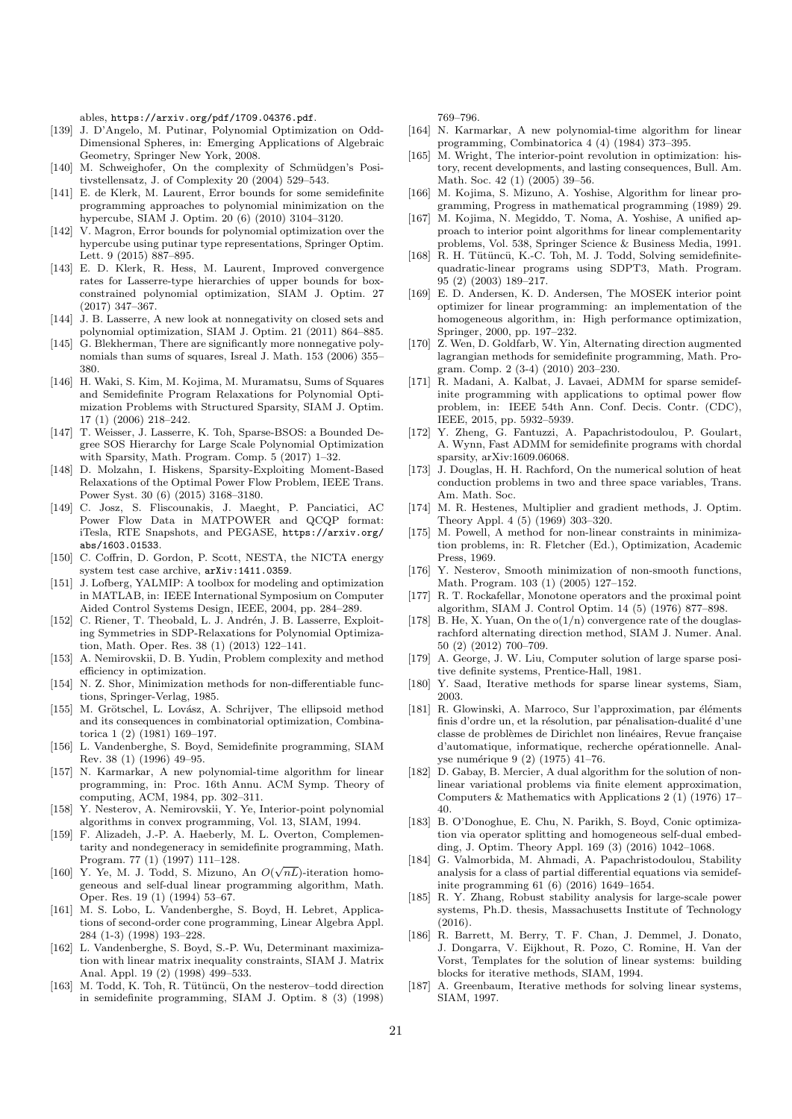ables, [https://arxiv.org/pdf/1709.04376.pdf](https://arxiv.org/pdf/1709.04376.pdf ).

- <span id="page-20-0"></span>[139] J. D'Angelo, M. Putinar, Polynomial Optimization on Odd-Dimensional Spheres, in: Emerging Applications of Algebraic Geometry, Springer New York, 2008.
- <span id="page-20-1"></span>[140] M. Schweighofer, On the complexity of Schmüdgen's Positivstellensatz, J. of Complexity 20 (2004) 529–543.
- <span id="page-20-2"></span>[141] E. de Klerk, M. Laurent, Error bounds for some semidefinite programming approaches to polynomial minimization on the hypercube, SIAM J. Optim. 20 (6) (2010) 3104–3120.
- <span id="page-20-3"></span>[142] V. Magron, Error bounds for polynomial optimization over the hypercube using putinar type representations, Springer Optim. Lett. 9 (2015) 887–895.
- <span id="page-20-4"></span>[143] E. D. Klerk, R. Hess, M. Laurent, Improved convergence rates for Lasserre-type hierarchies of upper bounds for boxconstrained polynomial optimization, SIAM J. Optim. 27 (2017) 347–367.
- <span id="page-20-5"></span>[144] J. B. Lasserre, A new look at nonnegativity on closed sets and polynomial optimization, SIAM J. Optim. 21 (2011) 864–885.
- <span id="page-20-6"></span>[145] G. Blekherman, There are significantly more nonnegative polynomials than sums of squares, Isreal J. Math. 153 (2006) 355– 380.
- <span id="page-20-7"></span>[146] H. Waki, S. Kim, M. Kojima, M. Muramatsu, Sums of Squares and Semidefinite Program Relaxations for Polynomial Optimization Problems with Structured Sparsity, SIAM J. Optim. 17 (1) (2006) 218–242.
- <span id="page-20-8"></span>[147] T. Weisser, J. Lasserre, K. Toh, Sparse-BSOS: a Bounded Degree SOS Hierarchy for Large Scale Polynomial Optimization with Sparsity, Math. Program. Comp. 5 (2017) 1–32.
- <span id="page-20-9"></span>[148] D. Molzahn, I. Hiskens, Sparsity-Exploiting Moment-Based Relaxations of the Optimal Power Flow Problem, IEEE Trans. Power Syst. 30 (6) (2015) 3168–3180.
- <span id="page-20-10"></span>[149] C. Josz, S. Fliscounakis, J. Maeght, P. Panciatici, AC Power Flow Data in MATPOWER and QCQP format: iTesla, RTE Snapshots, and PEGASE, [https://arxiv.org/](https://arxiv.org/abs/1603.01533) [abs/1603.01533](https://arxiv.org/abs/1603.01533).
- <span id="page-20-11"></span>[150] C. Coffrin, D. Gordon, P. Scott, NESTA, the NICTA energy system test case archive, <arXiv:1411.0359>.
- <span id="page-20-12"></span>[151] J. Lofberg, YALMIP: A toolbox for modeling and optimization in MATLAB, in: IEEE International Symposium on Computer Aided Control Systems Design, IEEE, 2004, pp. 284–289.
- <span id="page-20-13"></span>[152] C. Riener, T. Theobald, L. J. Andrén, J. B. Lasserre, Exploiting Symmetries in SDP-Relaxations for Polynomial Optimization, Math. Oper. Res. 38 (1) (2013) 122–141.
- <span id="page-20-14"></span>[153] A. Nemirovskii, D. B. Yudin, Problem complexity and method efficiency in optimization.
- <span id="page-20-15"></span>[154] N. Z. Shor, Minimization methods for non-differentiable functions, Springer-Verlag, 1985.
- <span id="page-20-16"></span>[155] M. Grötschel, L. Lovász, A. Schrijver, The ellipsoid method and its consequences in combinatorial optimization, Combinatorica 1 (2) (1981) 169–197.
- <span id="page-20-17"></span>[156] L. Vandenberghe, S. Boyd, Semidefinite programming, SIAM Rev. 38 (1) (1996) 49–95.
- <span id="page-20-18"></span>[157] N. Karmarkar, A new polynomial-time algorithm for linear programming, in: Proc. 16th Annu. ACM Symp. Theory of computing, ACM, 1984, pp. 302–311.
- <span id="page-20-19"></span>[158] Y. Nesterov, A. Nemirovskii, Y. Ye, Interior-point polynomial algorithms in convex programming, Vol. 13, SIAM, 1994.
- <span id="page-20-20"></span>[159] F. Alizadeh, J.-P. A. Haeberly, M. L. Overton, Complementarity and nondegeneracy in semidefinite programming, Math. Program. 77 (1) (1997) 111–128.
- <span id="page-20-21"></span>Program.  $\ell \ell$  (1) (1997) 111–128.<br>[160] Y. Ye, M. J. Todd, S. Mizuno, An  $O(\sqrt{nL})$ -iteration homogeneous and self-dual linear programming algorithm, Math. Oper. Res. 19 (1) (1994) 53–67.
- <span id="page-20-22"></span>[161] M. S. Lobo, L. Vandenberghe, S. Boyd, H. Lebret, Applications of second-order cone programming, Linear Algebra Appl. 284 (1-3) (1998) 193–228.
- <span id="page-20-23"></span>[162] L. Vandenberghe, S. Boyd, S.-P. Wu, Determinant maximization with linear matrix inequality constraints, SIAM J. Matrix Anal. Appl. 19 (2) (1998) 499–533.
- <span id="page-20-24"></span>[163] M. Todd, K. Toh, R. Tütüncü, On the nesterov-todd direction in semidefinite programming, SIAM J. Optim. 8 (3) (1998)

769–796.

- <span id="page-20-25"></span>[164] N. Karmarkar, A new polynomial-time algorithm for linear programming, Combinatorica 4 (4) (1984) 373–395.
- <span id="page-20-26"></span>[165] M. Wright, The interior-point revolution in optimization: history, recent developments, and lasting consequences, Bull. Am. Math. Soc. 42 (1) (2005) 39–56.
- <span id="page-20-27"></span>[166] M. Kojima, S. Mizuno, A. Yoshise, Algorithm for linear programming, Progress in mathematical programming (1989) 29.
- <span id="page-20-28"></span>[167] M. Kojima, N. Megiddo, T. Noma, A. Yoshise, A unified approach to interior point algorithms for linear complementarity problems, Vol. 538, Springer Science & Business Media, 1991.
- <span id="page-20-29"></span>[168] R. H. Tütüncü, K.-C. Toh, M. J. Todd, Solving semidefinitequadratic-linear programs using SDPT3, Math. Program. 95 (2) (2003) 189–217.
- <span id="page-20-30"></span>[169] E. D. Andersen, K. D. Andersen, The MOSEK interior point optimizer for linear programming: an implementation of the homogeneous algorithm, in: High performance optimization, Springer, 2000, pp. 197–232.
- <span id="page-20-31"></span>[170] Z. Wen, D. Goldfarb, W. Yin, Alternating direction augmented lagrangian methods for semidefinite programming, Math. Program. Comp. 2 (3-4) (2010) 203–230.
- <span id="page-20-32"></span>[171] R. Madani, A. Kalbat, J. Lavaei, ADMM for sparse semidefinite programming with applications to optimal power flow problem, in: IEEE 54th Ann. Conf. Decis. Contr. (CDC), IEEE, 2015, pp. 5932–5939.
- <span id="page-20-33"></span>[172] Y. Zheng, G. Fantuzzi, A. Papachristodoulou, P. Goulart, A. Wynn, Fast ADMM for semidefinite programs with chordal sparsity, arXiv:1609.06068.
- <span id="page-20-34"></span>[173] J. Douglas, H. H. Rachford, On the numerical solution of heat conduction problems in two and three space variables, Trans. Am. Math. Soc.
- <span id="page-20-35"></span>[174] M. R. Hestenes, Multiplier and gradient methods, J. Optim. Theory Appl. 4 (5) (1969) 303–320.
- <span id="page-20-36"></span>[175] M. Powell, A method for non-linear constraints in minimization problems, in: R. Fletcher (Ed.), Optimization, Academic Press, 1969.
- <span id="page-20-37"></span>[176] Y. Nesterov, Smooth minimization of non-smooth functions, Math. Program. 103 (1) (2005) 127–152.
- <span id="page-20-38"></span>[177] R. T. Rockafellar, Monotone operators and the proximal point algorithm, SIAM J. Control Optim. 14 (5) (1976) 877–898.
- <span id="page-20-39"></span>[178] B. He, X. Yuan, On the  $o(1/n)$  convergence rate of the douglasrachford alternating direction method, SIAM J. Numer. Anal. 50 (2) (2012) 700–709.
- <span id="page-20-40"></span>[179] A. George, J. W. Liu, Computer solution of large sparse positive definite systems, Prentice-Hall, 1981.
- <span id="page-20-41"></span>[180] Y. Saad, Iterative methods for sparse linear systems, Siam, 2003.
- <span id="page-20-42"></span>[181] R. Glowinski, A. Marroco, Sur l'approximation, par éléments finis d'ordre un, et la résolution, par pénalisation-dualité d'une classe de problèmes de Dirichlet non linéaires, Revue française d'automatique, informatique, recherche opérationnelle. Analyse numérique 9 (2) (1975) 41-76.
- <span id="page-20-43"></span>[182] D. Gabay, B. Mercier, A dual algorithm for the solution of nonlinear variational problems via finite element approximation, Computers & Mathematics with Applications 2 (1) (1976) 17– 40.
- <span id="page-20-44"></span>[183] B. O'Donoghue, E. Chu, N. Parikh, S. Boyd, Conic optimization via operator splitting and homogeneous self-dual embedding, J. Optim. Theory Appl. 169 (3) (2016) 1042–1068.
- <span id="page-20-45"></span>[184] G. Valmorbida, M. Ahmadi, A. Papachristodoulou, Stability analysis for a class of partial differential equations via semidefinite programming 61 (6) (2016) 1649–1654.
- <span id="page-20-46"></span>[185] R. Y. Zhang, Robust stability analysis for large-scale power systems, Ph.D. thesis, Massachusetts Institute of Technology (2016).
- <span id="page-20-47"></span>[186] R. Barrett, M. Berry, T. F. Chan, J. Demmel, J. Donato, J. Dongarra, V. Eijkhout, R. Pozo, C. Romine, H. Van der Vorst, Templates for the solution of linear systems: building blocks for iterative methods, SIAM, 1994.
- <span id="page-20-48"></span>[187] A. Greenbaum, Iterative methods for solving linear systems, SIAM, 1997.